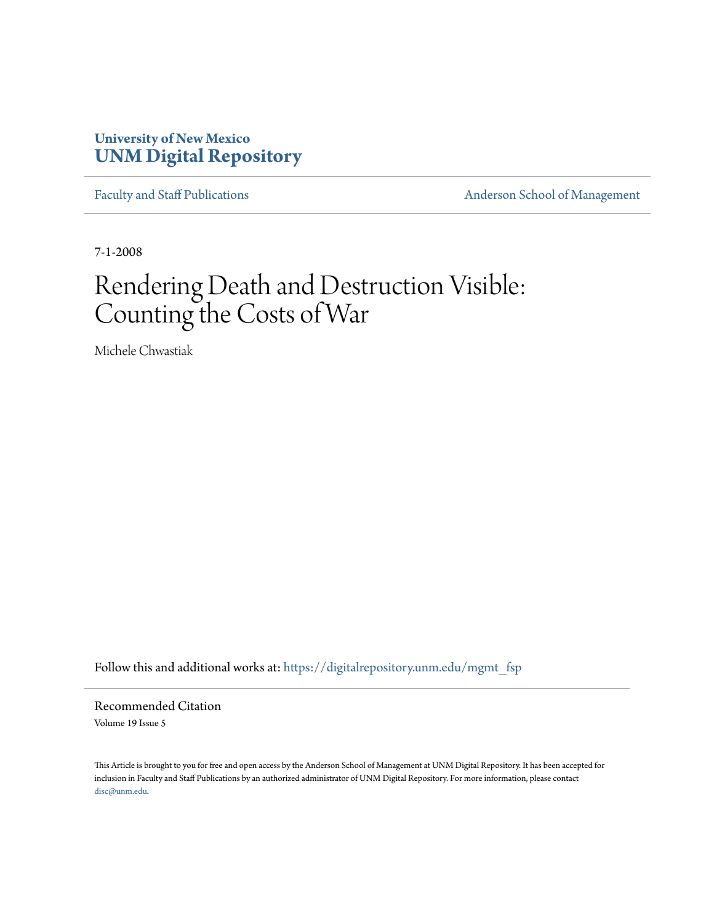## **University of New Mexico [UNM Digital Repository](https://digitalrepository.unm.edu?utm_source=digitalrepository.unm.edu%2Fmgmt_fsp%2F3&utm_medium=PDF&utm_campaign=PDFCoverPages)**

[Faculty and Staff Publications](https://digitalrepository.unm.edu/mgmt_fsp?utm_source=digitalrepository.unm.edu%2Fmgmt_fsp%2F3&utm_medium=PDF&utm_campaign=PDFCoverPages) **[Anderson School of Management](https://digitalrepository.unm.edu/mgmt?utm_source=digitalrepository.unm.edu%2Fmgmt_fsp%2F3&utm_medium=PDF&utm_campaign=PDFCoverPages)** 

7-1-2008

# Rendering Death and Destruction Visible: Counting the Costs of War

Michele Chwastiak

Follow this and additional works at: [https://digitalrepository.unm.edu/mgmt\\_fsp](https://digitalrepository.unm.edu/mgmt_fsp?utm_source=digitalrepository.unm.edu%2Fmgmt_fsp%2F3&utm_medium=PDF&utm_campaign=PDFCoverPages)

Recommended Citation Volume 19 Issue 5

This Article is brought to you for free and open access by the Anderson School of Management at UNM Digital Repository. It has been accepted for inclusion in Faculty and Staff Publications by an authorized administrator of UNM Digital Repository. For more information, please contact [disc@unm.edu](mailto:disc@unm.edu).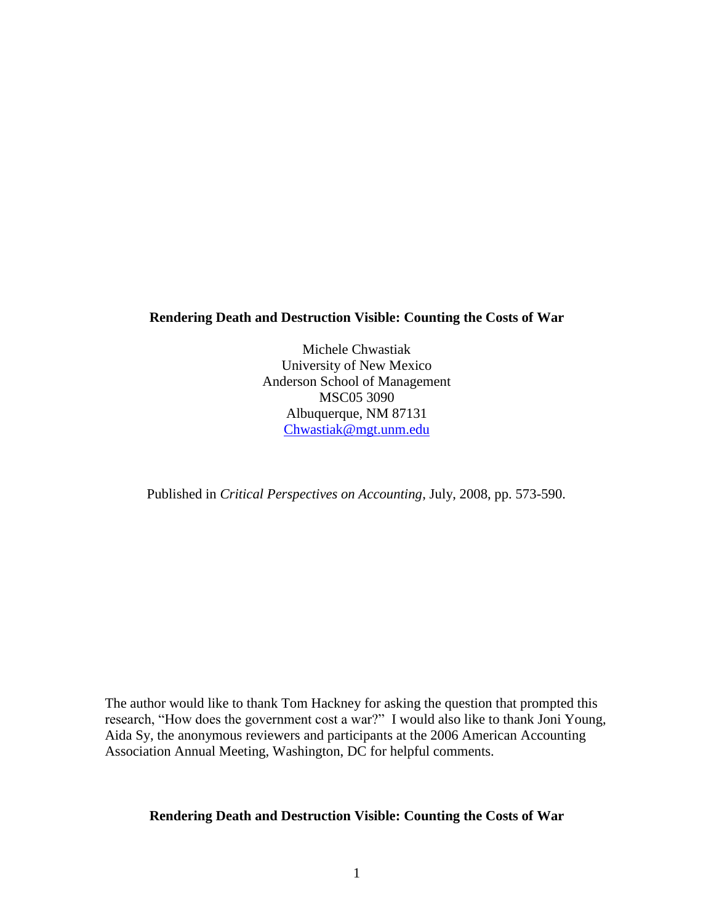## **Rendering Death and Destruction Visible: Counting the Costs of War**

Michele Chwastiak University of New Mexico Anderson School of Management MSC05 3090 Albuquerque, NM 87131 [Chwastiak@mgt.unm.edu](mailto:Chwastiak@mgt.unm.edu)

Published in *Critical Perspectives on Accounting*, July, 2008, pp. 573-590.

The author would like to thank Tom Hackney for asking the question that prompted this research, "How does the government cost a war?" I would also like to thank Joni Young, Aida Sy, the anonymous reviewers and participants at the 2006 American Accounting Association Annual Meeting, Washington, DC for helpful comments.

## **Rendering Death and Destruction Visible: Counting the Costs of War**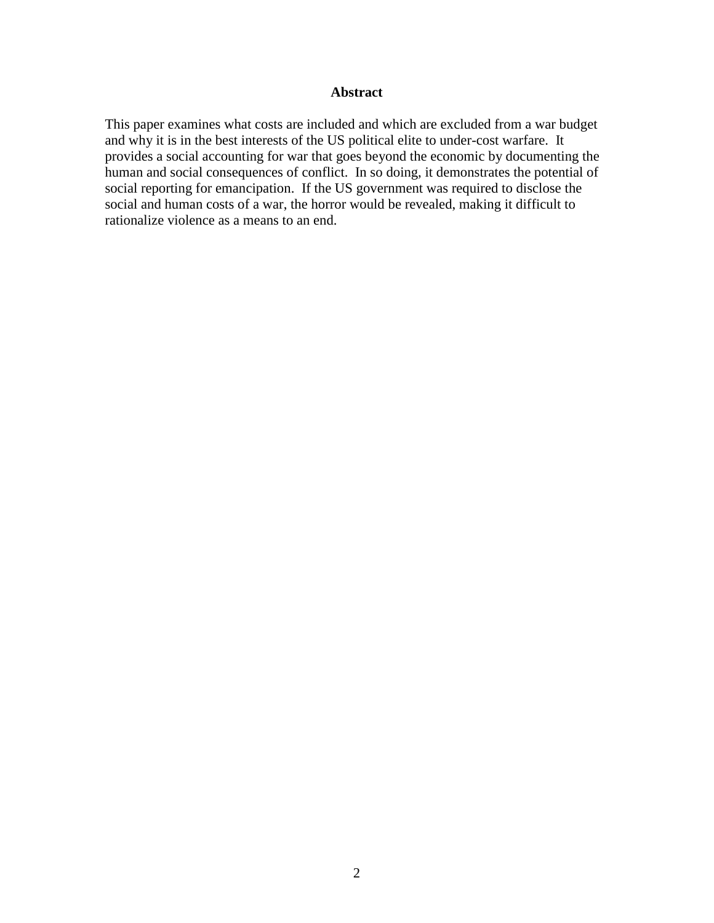## **Abstract**

This paper examines what costs are included and which are excluded from a war budget and why it is in the best interests of the US political elite to under-cost warfare. It provides a social accounting for war that goes beyond the economic by documenting the human and social consequences of conflict. In so doing, it demonstrates the potential of social reporting for emancipation. If the US government was required to disclose the social and human costs of a war, the horror would be revealed, making it difficult to rationalize violence as a means to an end.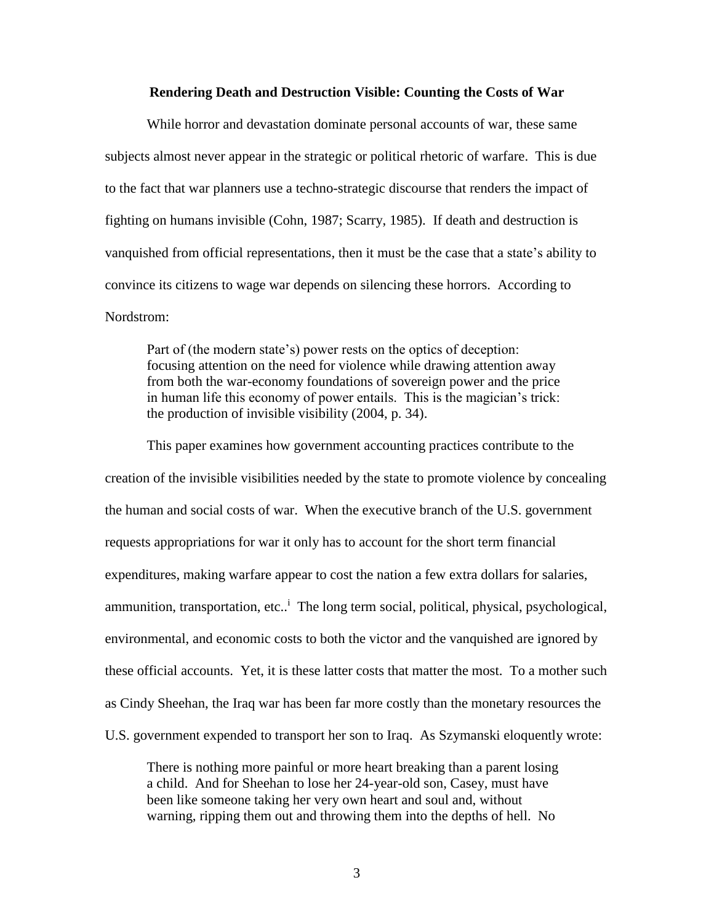#### **Rendering Death and Destruction Visible: Counting the Costs of War**

While horror and devastation dominate personal accounts of war, these same subjects almost never appear in the strategic or political rhetoric of warfare. This is due to the fact that war planners use a techno-strategic discourse that renders the impact of fighting on humans invisible (Cohn, 1987; Scarry, 1985). If death and destruction is vanquished from official representations, then it must be the case that a state's ability to convince its citizens to wage war depends on silencing these horrors. According to Nordstrom:

Part of (the modern state's) power rests on the optics of deception: focusing attention on the need for violence while drawing attention away from both the war-economy foundations of sovereign power and the price in human life this economy of power entails. This is the magician's trick: the production of invisible visibility (2004, p. 34).

This paper examines how government accounting practices contribute to the creation of the invisible visibilities needed by the state to promote violence by concealing the human and social costs of war. When the executive branch of the U.S. government requests appropriations for war it only has to account for the short term financial expenditures, making warfare appear to cost the nation a few extra dollars for salaries, ammunition, transportation, etc.<sup>1</sup> The long term social, political, physical, psychological, environmental, and economic costs to both the victor and the vanquished are ignored by these official accounts. Yet, it is these latter costs that matter the most. To a mother such as Cindy Sheehan, the Iraq war has been far more costly than the monetary resources the U.S. government expended to transport her son to Iraq. As Szymanski eloquently wrote:

There is nothing more painful or more heart breaking than a parent losing a child. And for Sheehan to lose her 24-year-old son, Casey, must have been like someone taking her very own heart and soul and, without warning, ripping them out and throwing them into the depths of hell. No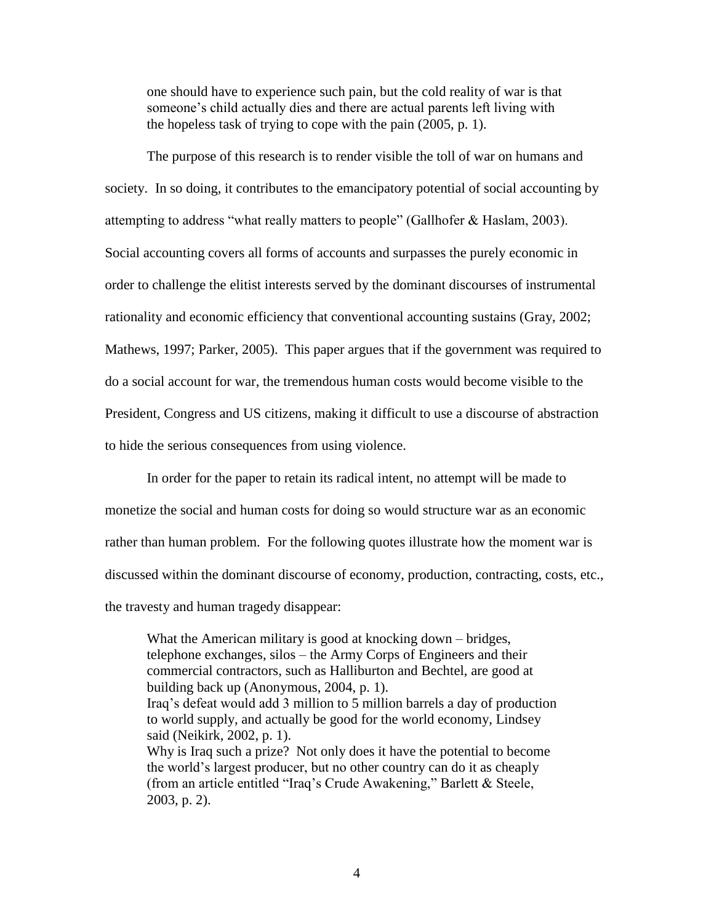one should have to experience such pain, but the cold reality of war is that someone's child actually dies and there are actual parents left living with the hopeless task of trying to cope with the pain (2005, p. 1).

The purpose of this research is to render visible the toll of war on humans and society. In so doing, it contributes to the emancipatory potential of social accounting by attempting to address "what really matters to people" (Gallhofer & Haslam, 2003). Social accounting covers all forms of accounts and surpasses the purely economic in order to challenge the elitist interests served by the dominant discourses of instrumental rationality and economic efficiency that conventional accounting sustains (Gray, 2002; Mathews, 1997; Parker, 2005). This paper argues that if the government was required to do a social account for war, the tremendous human costs would become visible to the President, Congress and US citizens, making it difficult to use a discourse of abstraction to hide the serious consequences from using violence.

In order for the paper to retain its radical intent, no attempt will be made to monetize the social and human costs for doing so would structure war as an economic rather than human problem. For the following quotes illustrate how the moment war is discussed within the dominant discourse of economy, production, contracting, costs, etc., the travesty and human tragedy disappear:

What the American military is good at knocking down – bridges, telephone exchanges, silos – the Army Corps of Engineers and their commercial contractors, such as Halliburton and Bechtel, are good at building back up (Anonymous, 2004, p. 1). Iraq's defeat would add 3 million to 5 million barrels a day of production to world supply, and actually be good for the world economy, Lindsey said (Neikirk, 2002, p. 1). Why is Iraq such a prize? Not only does it have the potential to become the world's largest producer, but no other country can do it as cheaply (from an article entitled "Iraq's Crude Awakening," Barlett & Steele, 2003, p. 2).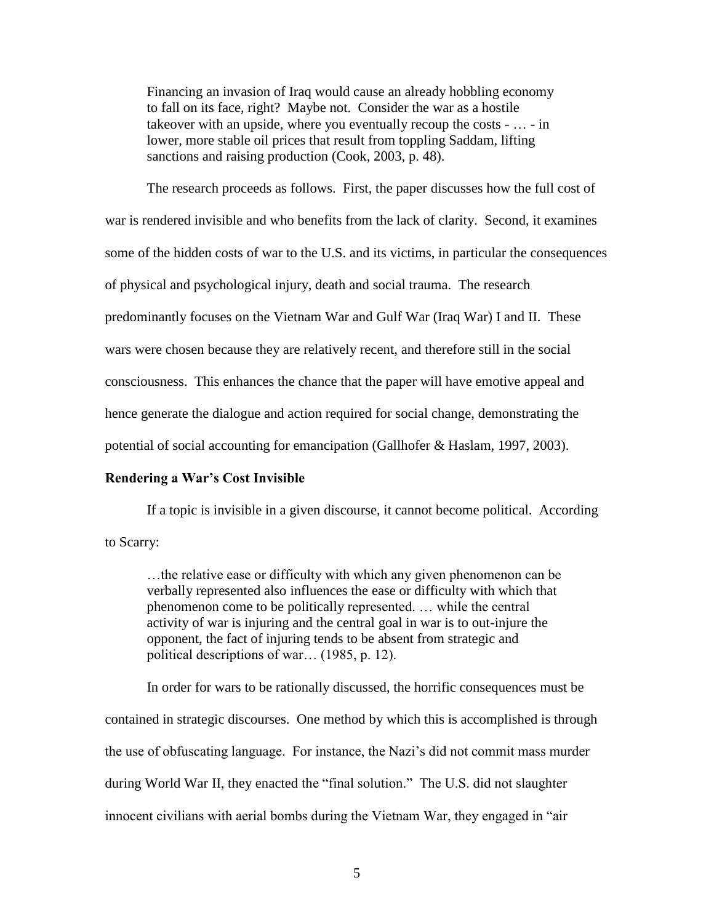Financing an invasion of Iraq would cause an already hobbling economy to fall on its face, right? Maybe not. Consider the war as a hostile takeover with an upside, where you eventually recoup the costs - … - in lower, more stable oil prices that result from toppling Saddam, lifting sanctions and raising production (Cook, 2003, p. 48).

The research proceeds as follows. First, the paper discusses how the full cost of war is rendered invisible and who benefits from the lack of clarity. Second, it examines some of the hidden costs of war to the U.S. and its victims, in particular the consequences of physical and psychological injury, death and social trauma. The research predominantly focuses on the Vietnam War and Gulf War (Iraq War) I and II. These wars were chosen because they are relatively recent, and therefore still in the social consciousness. This enhances the chance that the paper will have emotive appeal and hence generate the dialogue and action required for social change, demonstrating the potential of social accounting for emancipation (Gallhofer & Haslam, 1997, 2003).

#### **Rendering a War's Cost Invisible**

If a topic is invisible in a given discourse, it cannot become political. According

to Scarry:

…the relative ease or difficulty with which any given phenomenon can be verbally represented also influences the ease or difficulty with which that phenomenon come to be politically represented. … while the central activity of war is injuring and the central goal in war is to out-injure the opponent, the fact of injuring tends to be absent from strategic and political descriptions of war… (1985, p. 12).

In order for wars to be rationally discussed, the horrific consequences must be contained in strategic discourses. One method by which this is accomplished is through the use of obfuscating language. For instance, the Nazi's did not commit mass murder during World War II, they enacted the "final solution." The U.S. did not slaughter innocent civilians with aerial bombs during the Vietnam War, they engaged in "air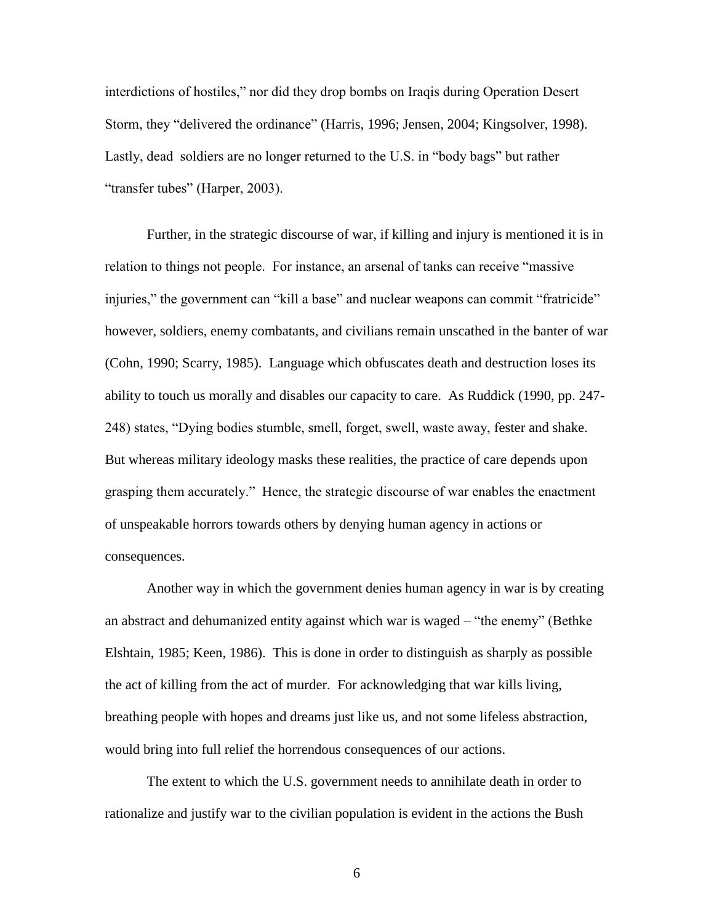interdictions of hostiles," nor did they drop bombs on Iraqis during Operation Desert Storm, they "delivered the ordinance" (Harris, 1996; Jensen, 2004; Kingsolver, 1998). Lastly, dead soldiers are no longer returned to the U.S. in "body bags" but rather "transfer tubes" (Harper, 2003).

Further, in the strategic discourse of war, if killing and injury is mentioned it is in relation to things not people. For instance, an arsenal of tanks can receive "massive injuries," the government can "kill a base" and nuclear weapons can commit "fratricide" however, soldiers, enemy combatants, and civilians remain unscathed in the banter of war (Cohn, 1990; Scarry, 1985). Language which obfuscates death and destruction loses its ability to touch us morally and disables our capacity to care. As Ruddick (1990, pp. 247- 248) states, "Dying bodies stumble, smell, forget, swell, waste away, fester and shake. But whereas military ideology masks these realities, the practice of care depends upon grasping them accurately." Hence, the strategic discourse of war enables the enactment of unspeakable horrors towards others by denying human agency in actions or consequences.

Another way in which the government denies human agency in war is by creating an abstract and dehumanized entity against which war is waged – "the enemy" (Bethke Elshtain, 1985; Keen, 1986). This is done in order to distinguish as sharply as possible the act of killing from the act of murder. For acknowledging that war kills living, breathing people with hopes and dreams just like us, and not some lifeless abstraction, would bring into full relief the horrendous consequences of our actions.

The extent to which the U.S. government needs to annihilate death in order to rationalize and justify war to the civilian population is evident in the actions the Bush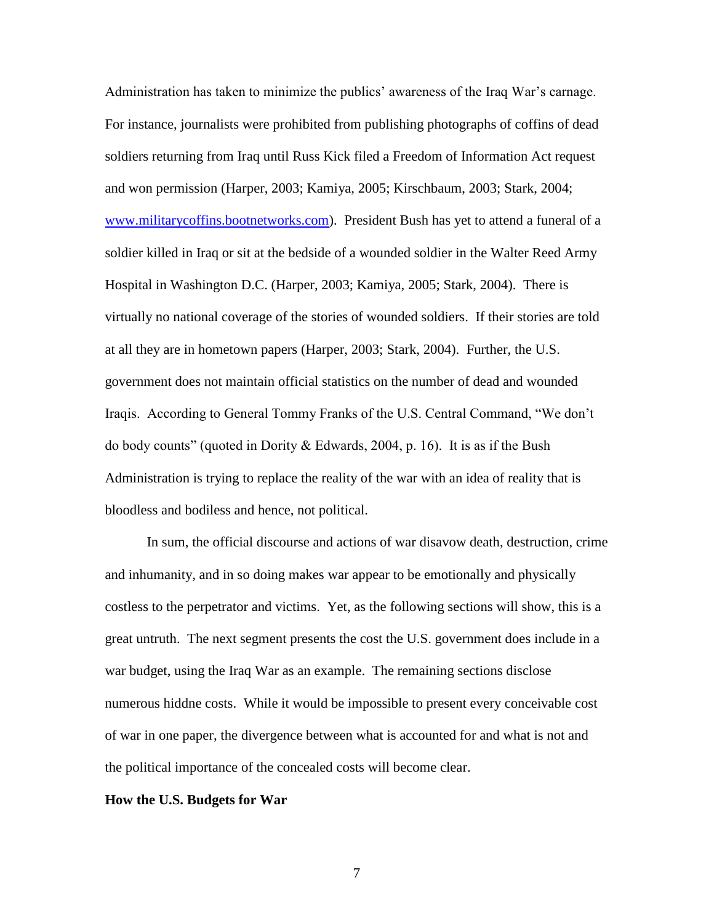Administration has taken to minimize the publics' awareness of the Iraq War's carnage. For instance, journalists were prohibited from publishing photographs of coffins of dead soldiers returning from Iraq until Russ Kick filed a Freedom of Information Act request and won permission (Harper, 2003; Kamiya, 2005; Kirschbaum, 2003; Stark, 2004; [www.militarycoffins.bootnetworks.com\)](http://www.militarycoffins.bootnetworks.com/). President Bush has yet to attend a funeral of a soldier killed in Iraq or sit at the bedside of a wounded soldier in the Walter Reed Army Hospital in Washington D.C. (Harper, 2003; Kamiya, 2005; Stark, 2004). There is virtually no national coverage of the stories of wounded soldiers. If their stories are told at all they are in hometown papers (Harper, 2003; Stark, 2004). Further, the U.S. government does not maintain official statistics on the number of dead and wounded Iraqis. According to General Tommy Franks of the U.S. Central Command, "We don't do body counts" (quoted in Dority & Edwards, 2004, p. 16). It is as if the Bush Administration is trying to replace the reality of the war with an idea of reality that is bloodless and bodiless and hence, not political.

In sum, the official discourse and actions of war disavow death, destruction, crime and inhumanity, and in so doing makes war appear to be emotionally and physically costless to the perpetrator and victims. Yet, as the following sections will show, this is a great untruth. The next segment presents the cost the U.S. government does include in a war budget, using the Iraq War as an example. The remaining sections disclose numerous hiddne costs. While it would be impossible to present every conceivable cost of war in one paper, the divergence between what is accounted for and what is not and the political importance of the concealed costs will become clear.

#### **How the U.S. Budgets for War**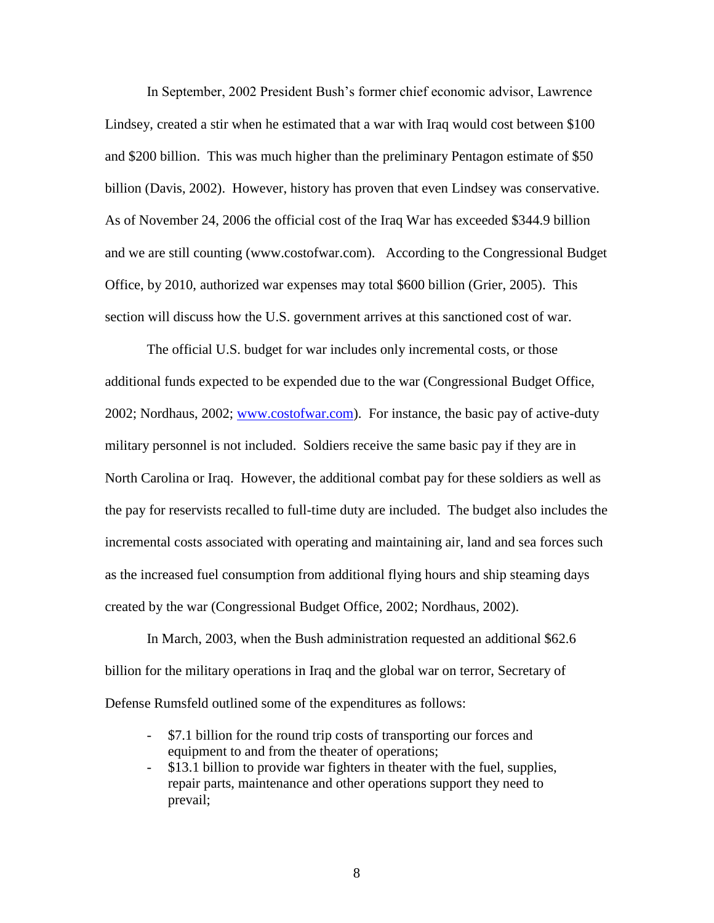In September, 2002 President Bush's former chief economic advisor, Lawrence Lindsey, created a stir when he estimated that a war with Iraq would cost between \$100 and \$200 billion. This was much higher than the preliminary Pentagon estimate of \$50 billion (Davis, 2002). However, history has proven that even Lindsey was conservative. As of November 24, 2006 the official cost of the Iraq War has exceeded \$344.9 billion and we are still counting (www.costofwar.com). According to the Congressional Budget Office, by 2010, authorized war expenses may total \$600 billion (Grier, 2005). This section will discuss how the U.S. government arrives at this sanctioned cost of war.

The official U.S. budget for war includes only incremental costs, or those additional funds expected to be expended due to the war (Congressional Budget Office, 2002; Nordhaus, 2002; [www.costofwar.com\)](http://www.costofwar.com/). For instance, the basic pay of active-duty military personnel is not included. Soldiers receive the same basic pay if they are in North Carolina or Iraq. However, the additional combat pay for these soldiers as well as the pay for reservists recalled to full-time duty are included. The budget also includes the incremental costs associated with operating and maintaining air, land and sea forces such as the increased fuel consumption from additional flying hours and ship steaming days created by the war (Congressional Budget Office, 2002; Nordhaus, 2002).

In March, 2003, when the Bush administration requested an additional \$62.6 billion for the military operations in Iraq and the global war on terror, Secretary of Defense Rumsfeld outlined some of the expenditures as follows:

- \$7.1 billion for the round trip costs of transporting our forces and equipment to and from the theater of operations;
- \$13.1 billion to provide war fighters in theater with the fuel, supplies, repair parts, maintenance and other operations support they need to prevail;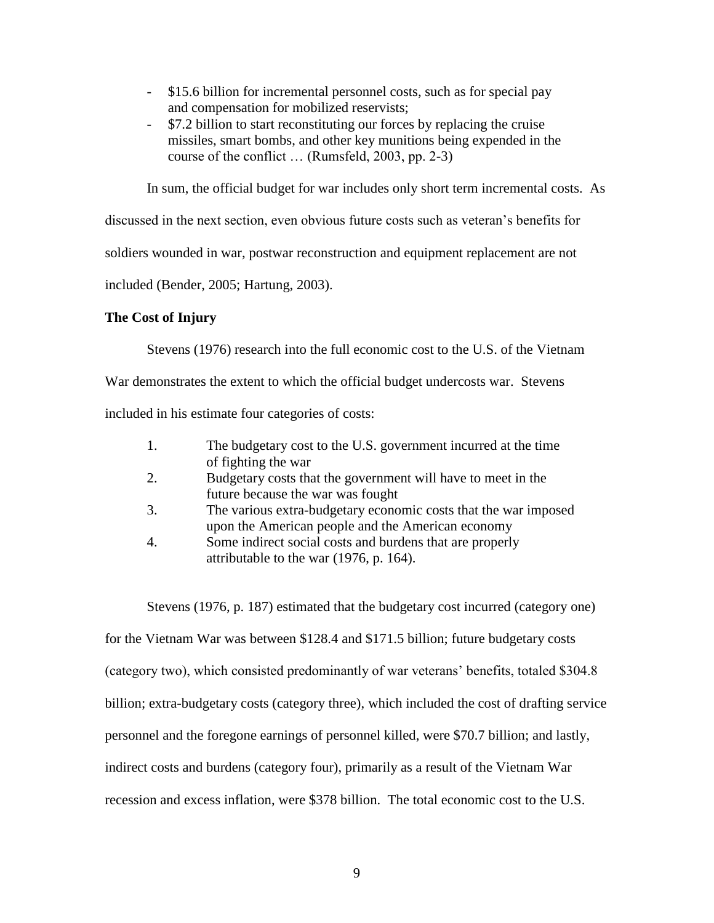- \$15.6 billion for incremental personnel costs, such as for special pay and compensation for mobilized reservists;
- \$7.2 billion to start reconstituting our forces by replacing the cruise missiles, smart bombs, and other key munitions being expended in the course of the conflict … (Rumsfeld, 2003, pp. 2-3)

In sum, the official budget for war includes only short term incremental costs. As

discussed in the next section, even obvious future costs such as veteran's benefits for

soldiers wounded in war, postwar reconstruction and equipment replacement are not

included (Bender, 2005; Hartung, 2003).

## **The Cost of Injury**

Stevens (1976) research into the full economic cost to the U.S. of the Vietnam

War demonstrates the extent to which the official budget undercosts war. Stevens

included in his estimate four categories of costs:

| 1. | The budgetary cost to the U.S. government incurred at the time  |
|----|-----------------------------------------------------------------|
|    | of fighting the war                                             |
| 2. | Budgetary costs that the government will have to meet in the    |
|    | future because the war was fought                               |
| 3. | The various extra-budgetary economic costs that the war imposed |
|    | upon the American people and the American economy               |
| 4. | Some indirect social costs and burdens that are properly        |
|    | attributable to the war (1976, p. 164).                         |

Stevens (1976, p. 187) estimated that the budgetary cost incurred (category one) for the Vietnam War was between \$128.4 and \$171.5 billion; future budgetary costs (category two), which consisted predominantly of war veterans' benefits, totaled \$304.8 billion; extra-budgetary costs (category three), which included the cost of drafting service personnel and the foregone earnings of personnel killed, were \$70.7 billion; and lastly, indirect costs and burdens (category four), primarily as a result of the Vietnam War recession and excess inflation, were \$378 billion. The total economic cost to the U.S.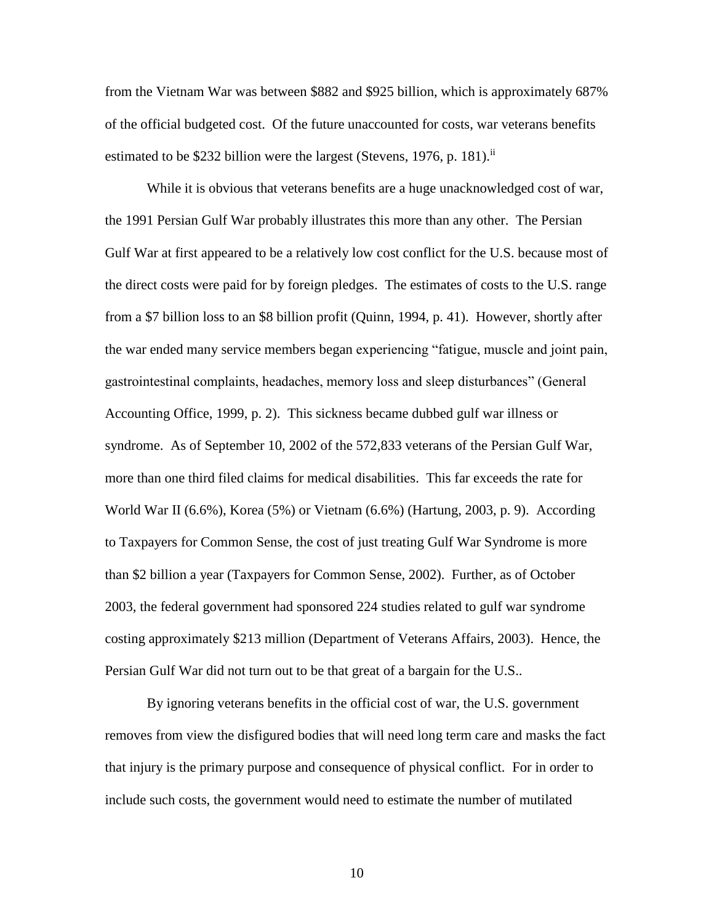from the Vietnam War was between \$882 and \$925 billion, which is approximately 687% of the official budgeted cost. Of the future unaccounted for costs, war veterans benefits estimated to be \$232 billion were the largest (Stevens, 1976, p. 181).<sup>ii</sup>

While it is obvious that veterans benefits are a huge unacknowledged cost of war, the 1991 Persian Gulf War probably illustrates this more than any other. The Persian Gulf War at first appeared to be a relatively low cost conflict for the U.S. because most of the direct costs were paid for by foreign pledges. The estimates of costs to the U.S. range from a \$7 billion loss to an \$8 billion profit (Quinn, 1994, p. 41). However, shortly after the war ended many service members began experiencing "fatigue, muscle and joint pain, gastrointestinal complaints, headaches, memory loss and sleep disturbances" (General Accounting Office, 1999, p. 2). This sickness became dubbed gulf war illness or syndrome. As of September 10, 2002 of the 572,833 veterans of the Persian Gulf War, more than one third filed claims for medical disabilities. This far exceeds the rate for World War II (6.6%), Korea (5%) or Vietnam (6.6%) (Hartung, 2003, p. 9). According to Taxpayers for Common Sense, the cost of just treating Gulf War Syndrome is more than \$2 billion a year (Taxpayers for Common Sense, 2002). Further, as of October 2003, the federal government had sponsored 224 studies related to gulf war syndrome costing approximately \$213 million (Department of Veterans Affairs, 2003). Hence, the Persian Gulf War did not turn out to be that great of a bargain for the U.S..

By ignoring veterans benefits in the official cost of war, the U.S. government removes from view the disfigured bodies that will need long term care and masks the fact that injury is the primary purpose and consequence of physical conflict. For in order to include such costs, the government would need to estimate the number of mutilated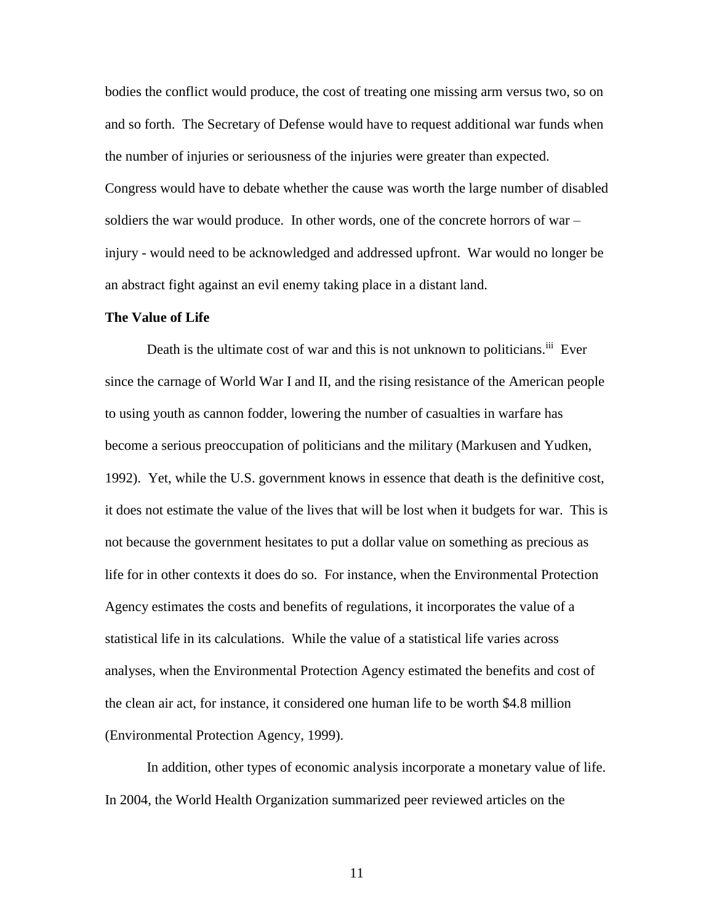bodies the conflict would produce, the cost of treating one missing arm versus two, so on and so forth. The Secretary of Defense would have to request additional war funds when the number of injuries or seriousness of the injuries were greater than expected. Congress would have to debate whether the cause was worth the large number of disabled soldiers the war would produce. In other words, one of the concrete horrors of war – injury - would need to be acknowledged and addressed upfront. War would no longer be an abstract fight against an evil enemy taking place in a distant land.

#### **The Value of Life**

Death is the ultimate cost of war and this is not unknown to politicians.<sup>iii</sup> Ever since the carnage of World War I and II, and the rising resistance of the American people to using youth as cannon fodder, lowering the number of casualties in warfare has become a serious preoccupation of politicians and the military (Markusen and Yudken, 1992). Yet, while the U.S. government knows in essence that death is the definitive cost, it does not estimate the value of the lives that will be lost when it budgets for war. This is not because the government hesitates to put a dollar value on something as precious as life for in other contexts it does do so. For instance, when the Environmental Protection Agency estimates the costs and benefits of regulations, it incorporates the value of a statistical life in its calculations. While the value of a statistical life varies across analyses, when the Environmental Protection Agency estimated the benefits and cost of the clean air act, for instance, it considered one human life to be worth \$4.8 million (Environmental Protection Agency, 1999).

In addition, other types of economic analysis incorporate a monetary value of life. In 2004, the World Health Organization summarized peer reviewed articles on the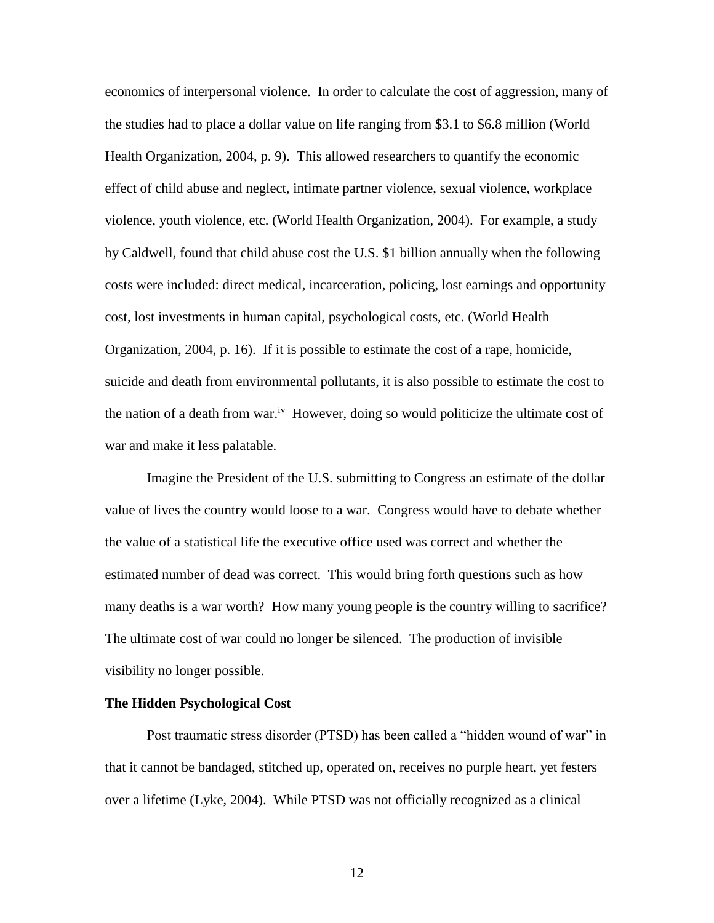economics of interpersonal violence. In order to calculate the cost of aggression, many of the studies had to place a dollar value on life ranging from \$3.1 to \$6.8 million (World Health Organization, 2004, p. 9). This allowed researchers to quantify the economic effect of child abuse and neglect, intimate partner violence, sexual violence, workplace violence, youth violence, etc. (World Health Organization, 2004). For example, a study by Caldwell, found that child abuse cost the U.S. \$1 billion annually when the following costs were included: direct medical, incarceration, policing, lost earnings and opportunity cost, lost investments in human capital, psychological costs, etc. (World Health Organization, 2004, p. 16). If it is possible to estimate the cost of a rape, homicide, suicide and death from environmental pollutants, it is also possible to estimate the cost to the nation of a death from war.<sup>iv</sup> However, doing so would politicize the ultimate cost of war and make it less palatable.

Imagine the President of the U.S. submitting to Congress an estimate of the dollar value of lives the country would loose to a war. Congress would have to debate whether the value of a statistical life the executive office used was correct and whether the estimated number of dead was correct. This would bring forth questions such as how many deaths is a war worth? How many young people is the country willing to sacrifice? The ultimate cost of war could no longer be silenced. The production of invisible visibility no longer possible.

#### **The Hidden Psychological Cost**

Post traumatic stress disorder (PTSD) has been called a "hidden wound of war" in that it cannot be bandaged, stitched up, operated on, receives no purple heart, yet festers over a lifetime (Lyke, 2004). While PTSD was not officially recognized as a clinical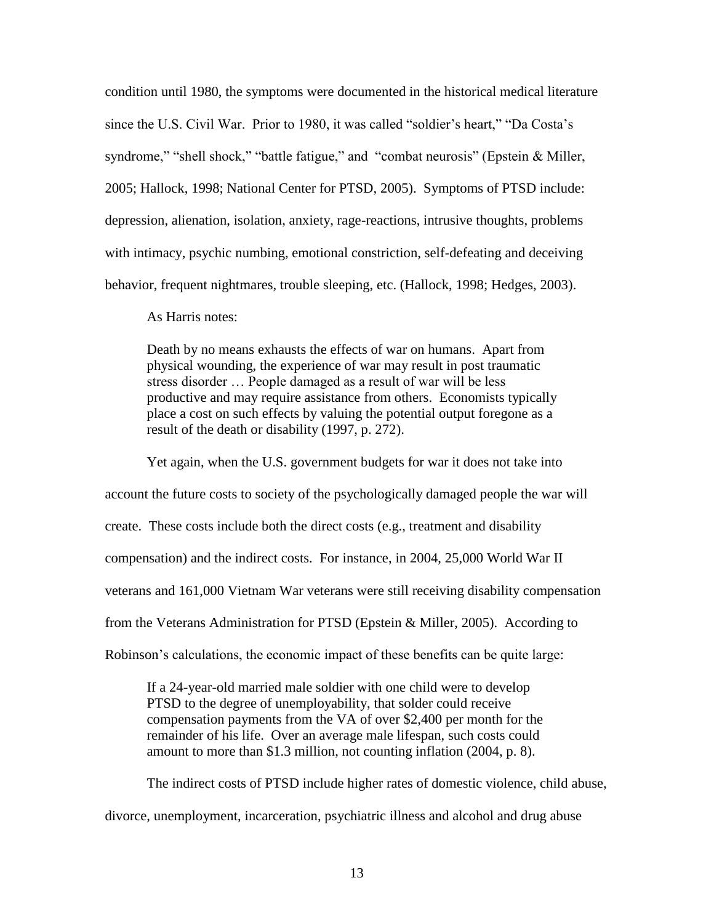condition until 1980, the symptoms were documented in the historical medical literature since the U.S. Civil War. Prior to 1980, it was called "soldier's heart," "Da Costa's syndrome," "shell shock," "battle fatigue," and "combat neurosis" (Epstein & Miller, 2005; Hallock, 1998; National Center for PTSD, 2005). Symptoms of PTSD include: depression, alienation, isolation, anxiety, rage-reactions, intrusive thoughts, problems with intimacy, psychic numbing, emotional constriction, self-defeating and deceiving behavior, frequent nightmares, trouble sleeping, etc. (Hallock, 1998; Hedges, 2003).

As Harris notes:

Death by no means exhausts the effects of war on humans. Apart from physical wounding, the experience of war may result in post traumatic stress disorder … People damaged as a result of war will be less productive and may require assistance from others. Economists typically place a cost on such effects by valuing the potential output foregone as a result of the death or disability (1997, p. 272).

Yet again, when the U.S. government budgets for war it does not take into account the future costs to society of the psychologically damaged people the war will create. These costs include both the direct costs (e.g., treatment and disability compensation) and the indirect costs. For instance, in 2004, 25,000 World War II veterans and 161,000 Vietnam War veterans were still receiving disability compensation from the Veterans Administration for PTSD (Epstein & Miller, 2005). According to Robinson's calculations, the economic impact of these benefits can be quite large:

If a 24-year-old married male soldier with one child were to develop PTSD to the degree of unemployability, that solder could receive compensation payments from the VA of over \$2,400 per month for the remainder of his life. Over an average male lifespan, such costs could amount to more than \$1.3 million, not counting inflation (2004, p. 8).

The indirect costs of PTSD include higher rates of domestic violence, child abuse, divorce, unemployment, incarceration, psychiatric illness and alcohol and drug abuse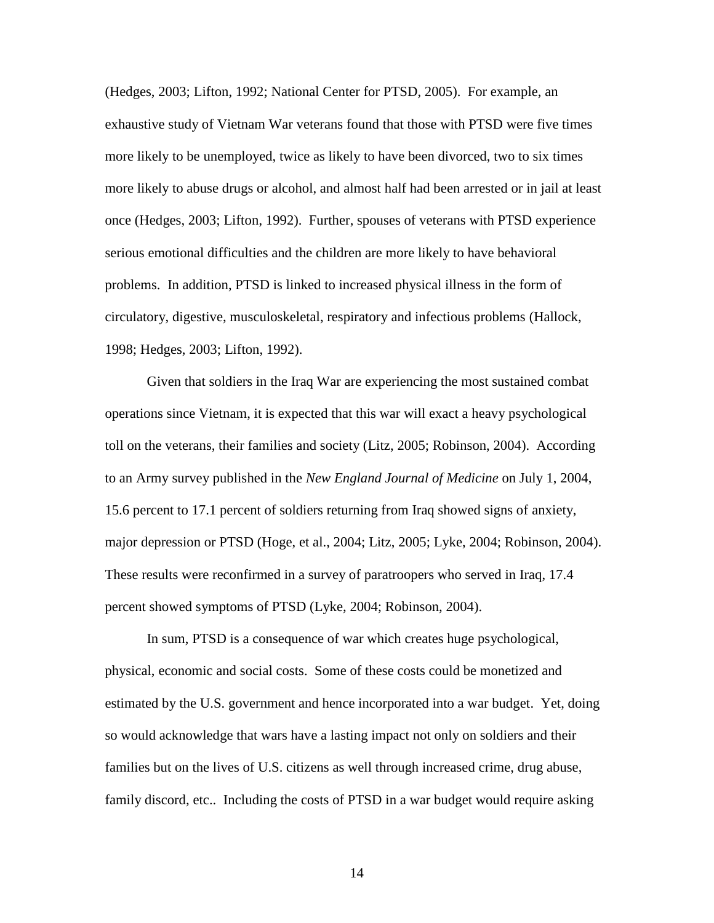(Hedges, 2003; Lifton, 1992; National Center for PTSD, 2005). For example, an exhaustive study of Vietnam War veterans found that those with PTSD were five times more likely to be unemployed, twice as likely to have been divorced, two to six times more likely to abuse drugs or alcohol, and almost half had been arrested or in jail at least once (Hedges, 2003; Lifton, 1992). Further, spouses of veterans with PTSD experience serious emotional difficulties and the children are more likely to have behavioral problems. In addition, PTSD is linked to increased physical illness in the form of circulatory, digestive, musculoskeletal, respiratory and infectious problems (Hallock, 1998; Hedges, 2003; Lifton, 1992).

Given that soldiers in the Iraq War are experiencing the most sustained combat operations since Vietnam, it is expected that this war will exact a heavy psychological toll on the veterans, their families and society (Litz, 2005; Robinson, 2004). According to an Army survey published in the *New England Journal of Medicine* on July 1, 2004, 15.6 percent to 17.1 percent of soldiers returning from Iraq showed signs of anxiety, major depression or PTSD (Hoge, et al., 2004; Litz, 2005; Lyke, 2004; Robinson, 2004). These results were reconfirmed in a survey of paratroopers who served in Iraq, 17.4 percent showed symptoms of PTSD (Lyke, 2004; Robinson, 2004).

In sum, PTSD is a consequence of war which creates huge psychological, physical, economic and social costs. Some of these costs could be monetized and estimated by the U.S. government and hence incorporated into a war budget. Yet, doing so would acknowledge that wars have a lasting impact not only on soldiers and their families but on the lives of U.S. citizens as well through increased crime, drug abuse, family discord, etc.. Including the costs of PTSD in a war budget would require asking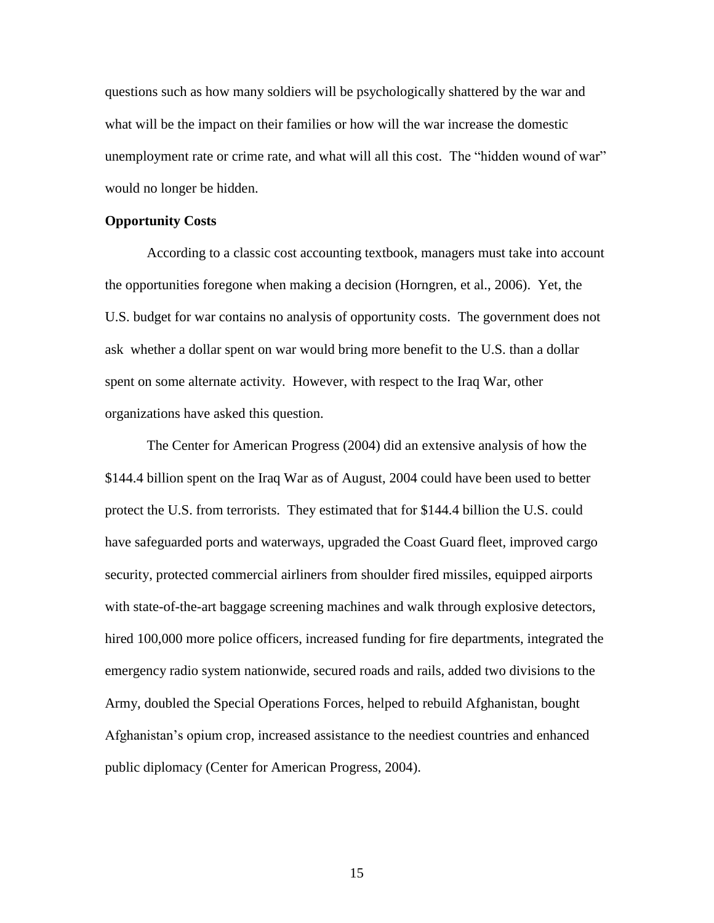questions such as how many soldiers will be psychologically shattered by the war and what will be the impact on their families or how will the war increase the domestic unemployment rate or crime rate, and what will all this cost. The "hidden wound of war" would no longer be hidden.

#### **Opportunity Costs**

According to a classic cost accounting textbook, managers must take into account the opportunities foregone when making a decision (Horngren, et al., 2006). Yet, the U.S. budget for war contains no analysis of opportunity costs. The government does not ask whether a dollar spent on war would bring more benefit to the U.S. than a dollar spent on some alternate activity. However, with respect to the Iraq War, other organizations have asked this question.

The Center for American Progress (2004) did an extensive analysis of how the \$144.4 billion spent on the Iraq War as of August, 2004 could have been used to better protect the U.S. from terrorists. They estimated that for \$144.4 billion the U.S. could have safeguarded ports and waterways, upgraded the Coast Guard fleet, improved cargo security, protected commercial airliners from shoulder fired missiles, equipped airports with state-of-the-art baggage screening machines and walk through explosive detectors, hired 100,000 more police officers, increased funding for fire departments, integrated the emergency radio system nationwide, secured roads and rails, added two divisions to the Army, doubled the Special Operations Forces, helped to rebuild Afghanistan, bought Afghanistan's opium crop, increased assistance to the neediest countries and enhanced public diplomacy (Center for American Progress, 2004).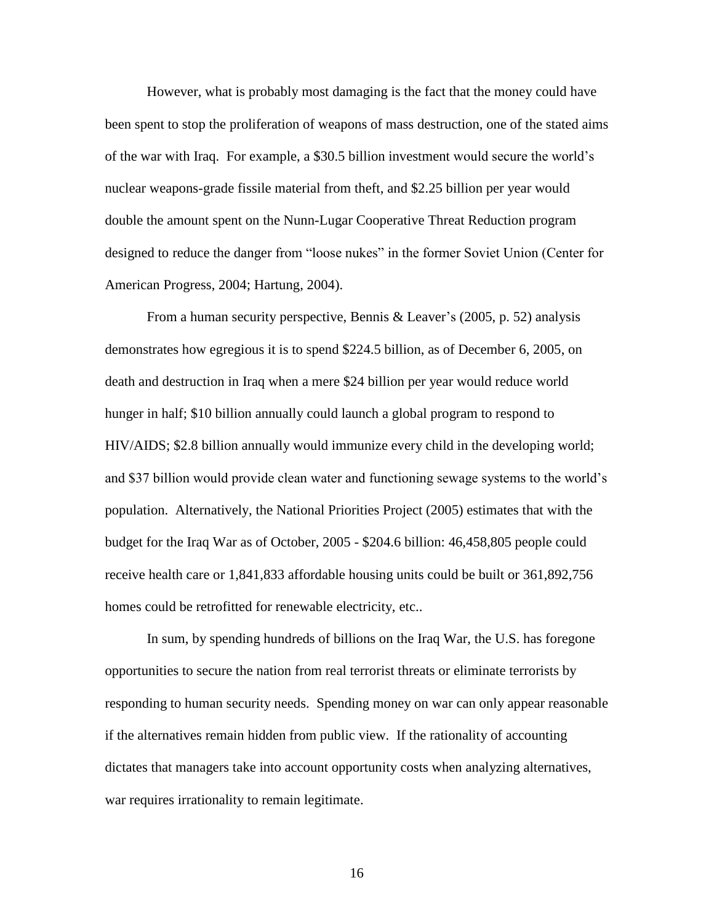However, what is probably most damaging is the fact that the money could have been spent to stop the proliferation of weapons of mass destruction, one of the stated aims of the war with Iraq. For example, a \$30.5 billion investment would secure the world's nuclear weapons-grade fissile material from theft, and \$2.25 billion per year would double the amount spent on the Nunn-Lugar Cooperative Threat Reduction program designed to reduce the danger from "loose nukes" in the former Soviet Union (Center for American Progress, 2004; Hartung, 2004).

From a human security perspective, Bennis & Leaver's (2005, p. 52) analysis demonstrates how egregious it is to spend \$224.5 billion, as of December 6, 2005, on death and destruction in Iraq when a mere \$24 billion per year would reduce world hunger in half; \$10 billion annually could launch a global program to respond to HIV/AIDS; \$2.8 billion annually would immunize every child in the developing world; and \$37 billion would provide clean water and functioning sewage systems to the world's population. Alternatively, the National Priorities Project (2005) estimates that with the budget for the Iraq War as of October, 2005 - \$204.6 billion: 46,458,805 people could receive health care or 1,841,833 affordable housing units could be built or 361,892,756 homes could be retrofitted for renewable electricity, etc..

In sum, by spending hundreds of billions on the Iraq War, the U.S. has foregone opportunities to secure the nation from real terrorist threats or eliminate terrorists by responding to human security needs. Spending money on war can only appear reasonable if the alternatives remain hidden from public view. If the rationality of accounting dictates that managers take into account opportunity costs when analyzing alternatives, war requires irrationality to remain legitimate.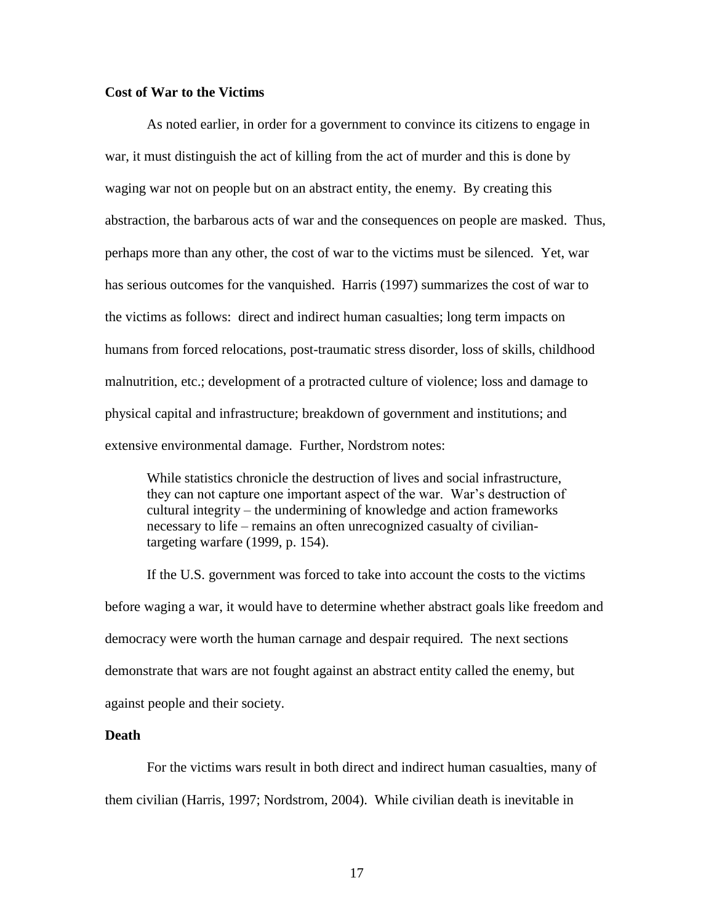#### **Cost of War to the Victims**

As noted earlier, in order for a government to convince its citizens to engage in war, it must distinguish the act of killing from the act of murder and this is done by waging war not on people but on an abstract entity, the enemy. By creating this abstraction, the barbarous acts of war and the consequences on people are masked. Thus, perhaps more than any other, the cost of war to the victims must be silenced. Yet, war has serious outcomes for the vanquished. Harris (1997) summarizes the cost of war to the victims as follows: direct and indirect human casualties; long term impacts on humans from forced relocations, post-traumatic stress disorder, loss of skills, childhood malnutrition, etc.; development of a protracted culture of violence; loss and damage to physical capital and infrastructure; breakdown of government and institutions; and extensive environmental damage. Further, Nordstrom notes:

While statistics chronicle the destruction of lives and social infrastructure, they can not capture one important aspect of the war. War's destruction of cultural integrity – the undermining of knowledge and action frameworks necessary to life – remains an often unrecognized casualty of civiliantargeting warfare (1999, p. 154).

If the U.S. government was forced to take into account the costs to the victims before waging a war, it would have to determine whether abstract goals like freedom and democracy were worth the human carnage and despair required. The next sections demonstrate that wars are not fought against an abstract entity called the enemy, but against people and their society.

#### **Death**

For the victims wars result in both direct and indirect human casualties, many of them civilian (Harris, 1997; Nordstrom, 2004). While civilian death is inevitable in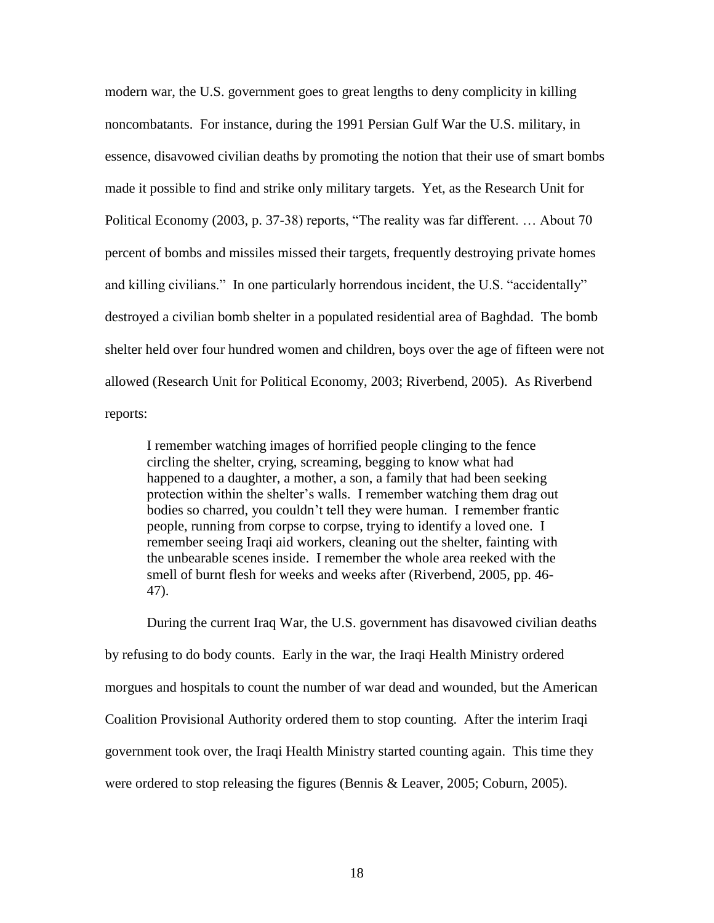modern war, the U.S. government goes to great lengths to deny complicity in killing noncombatants. For instance, during the 1991 Persian Gulf War the U.S. military, in essence, disavowed civilian deaths by promoting the notion that their use of smart bombs made it possible to find and strike only military targets. Yet, as the Research Unit for Political Economy (2003, p. 37-38) reports, "The reality was far different. … About 70 percent of bombs and missiles missed their targets, frequently destroying private homes and killing civilians." In one particularly horrendous incident, the U.S. "accidentally" destroyed a civilian bomb shelter in a populated residential area of Baghdad. The bomb shelter held over four hundred women and children, boys over the age of fifteen were not allowed (Research Unit for Political Economy, 2003; Riverbend, 2005). As Riverbend reports:

I remember watching images of horrified people clinging to the fence circling the shelter, crying, screaming, begging to know what had happened to a daughter, a mother, a son, a family that had been seeking protection within the shelter's walls. I remember watching them drag out bodies so charred, you couldn't tell they were human. I remember frantic people, running from corpse to corpse, trying to identify a loved one. I remember seeing Iraqi aid workers, cleaning out the shelter, fainting with the unbearable scenes inside. I remember the whole area reeked with the smell of burnt flesh for weeks and weeks after (Riverbend, 2005, pp. 46- 47).

During the current Iraq War, the U.S. government has disavowed civilian deaths by refusing to do body counts. Early in the war, the Iraqi Health Ministry ordered morgues and hospitals to count the number of war dead and wounded, but the American Coalition Provisional Authority ordered them to stop counting. After the interim Iraqi government took over, the Iraqi Health Ministry started counting again. This time they were ordered to stop releasing the figures (Bennis & Leaver, 2005; Coburn, 2005).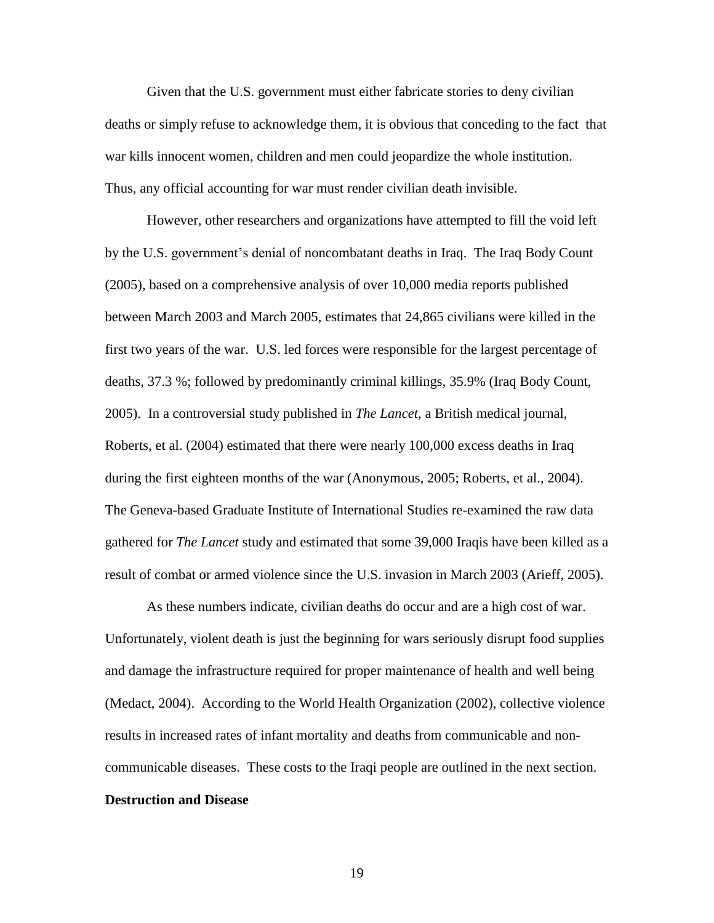Given that the U.S. government must either fabricate stories to deny civilian deaths or simply refuse to acknowledge them, it is obvious that conceding to the fact that war kills innocent women, children and men could jeopardize the whole institution. Thus, any official accounting for war must render civilian death invisible.

However, other researchers and organizations have attempted to fill the void left by the U.S. government's denial of noncombatant deaths in Iraq. The Iraq Body Count (2005), based on a comprehensive analysis of over 10,000 media reports published between March 2003 and March 2005, estimates that 24,865 civilians were killed in the first two years of the war. U.S. led forces were responsible for the largest percentage of deaths, 37.3 %; followed by predominantly criminal killings, 35.9% (Iraq Body Count, 2005). In a controversial study published in *The Lancet*, a British medical journal, Roberts, et al. (2004) estimated that there were nearly 100,000 excess deaths in Iraq during the first eighteen months of the war (Anonymous, 2005; Roberts, et al., 2004). The Geneva-based Graduate Institute of International Studies re-examined the raw data gathered for *The Lancet* study and estimated that some 39,000 Iraqis have been killed as a result of combat or armed violence since the U.S. invasion in March 2003 (Arieff, 2005).

As these numbers indicate, civilian deaths do occur and are a high cost of war. Unfortunately, violent death is just the beginning for wars seriously disrupt food supplies and damage the infrastructure required for proper maintenance of health and well being (Medact, 2004). According to the World Health Organization (2002), collective violence results in increased rates of infant mortality and deaths from communicable and noncommunicable diseases. These costs to the Iraqi people are outlined in the next section. **Destruction and Disease**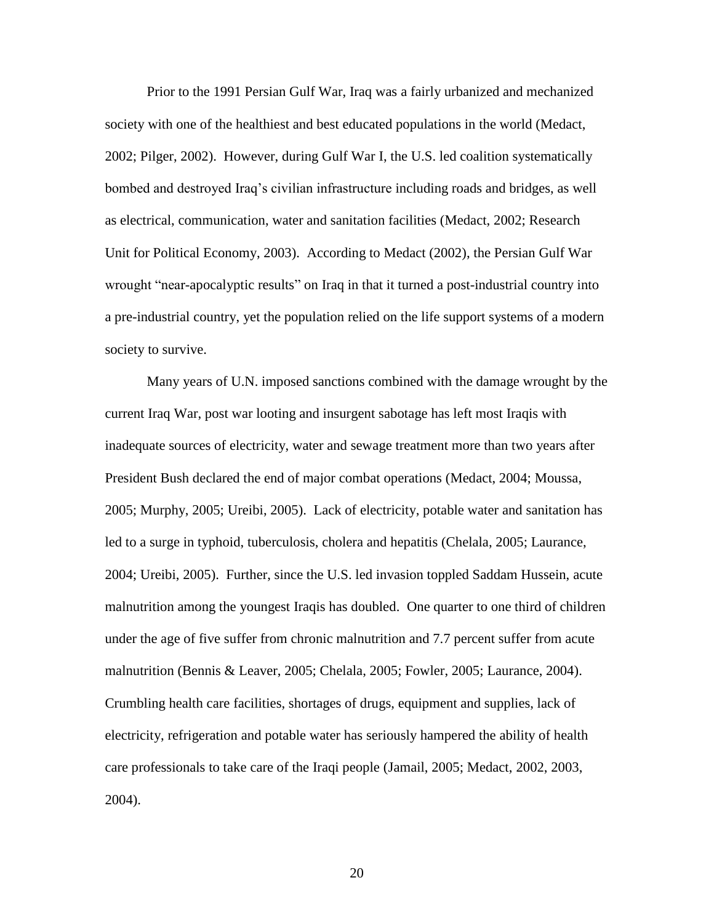Prior to the 1991 Persian Gulf War, Iraq was a fairly urbanized and mechanized society with one of the healthiest and best educated populations in the world (Medact, 2002; Pilger, 2002). However, during Gulf War I, the U.S. led coalition systematically bombed and destroyed Iraq's civilian infrastructure including roads and bridges, as well as electrical, communication, water and sanitation facilities (Medact, 2002; Research Unit for Political Economy, 2003). According to Medact (2002), the Persian Gulf War wrought "near-apocalyptic results" on Iraq in that it turned a post-industrial country into a pre-industrial country, yet the population relied on the life support systems of a modern society to survive.

Many years of U.N. imposed sanctions combined with the damage wrought by the current Iraq War, post war looting and insurgent sabotage has left most Iraqis with inadequate sources of electricity, water and sewage treatment more than two years after President Bush declared the end of major combat operations (Medact, 2004; Moussa, 2005; Murphy, 2005; Ureibi, 2005). Lack of electricity, potable water and sanitation has led to a surge in typhoid, tuberculosis, cholera and hepatitis (Chelala, 2005; Laurance, 2004; Ureibi, 2005). Further, since the U.S. led invasion toppled Saddam Hussein, acute malnutrition among the youngest Iraqis has doubled. One quarter to one third of children under the age of five suffer from chronic malnutrition and 7.7 percent suffer from acute malnutrition (Bennis & Leaver, 2005; Chelala, 2005; Fowler, 2005; Laurance, 2004). Crumbling health care facilities, shortages of drugs, equipment and supplies, lack of electricity, refrigeration and potable water has seriously hampered the ability of health care professionals to take care of the Iraqi people (Jamail, 2005; Medact, 2002, 2003, 2004).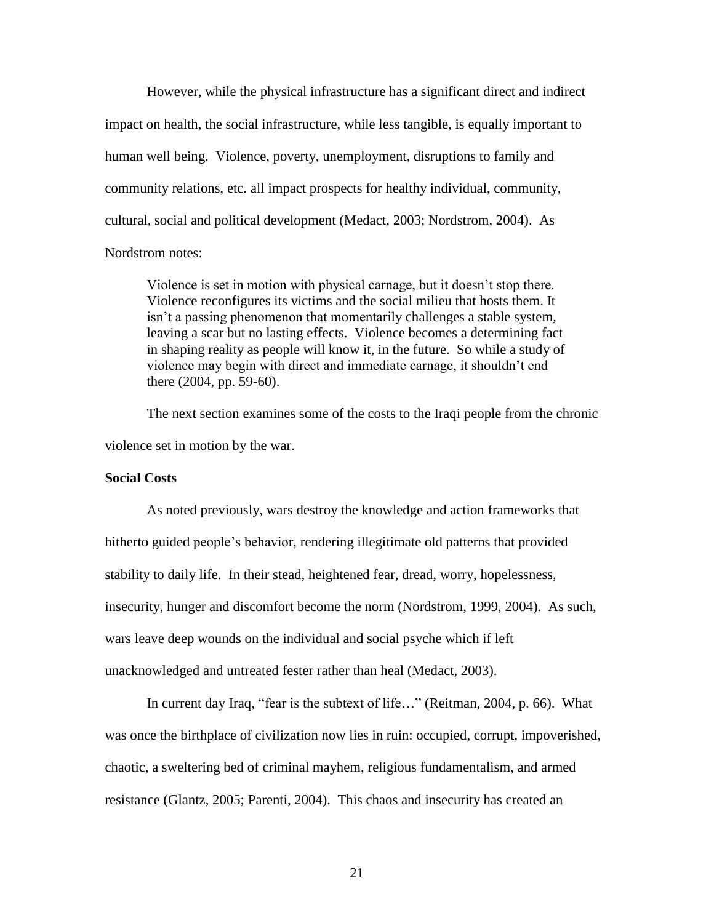However, while the physical infrastructure has a significant direct and indirect impact on health, the social infrastructure, while less tangible, is equally important to human well being. Violence, poverty, unemployment, disruptions to family and community relations, etc. all impact prospects for healthy individual, community, cultural, social and political development (Medact, 2003; Nordstrom, 2004). As Nordstrom notes:

Violence is set in motion with physical carnage, but it doesn't stop there. Violence reconfigures its victims and the social milieu that hosts them. It isn't a passing phenomenon that momentarily challenges a stable system, leaving a scar but no lasting effects. Violence becomes a determining fact in shaping reality as people will know it, in the future. So while a study of violence may begin with direct and immediate carnage, it shouldn't end there (2004, pp. 59-60).

The next section examines some of the costs to the Iraqi people from the chronic violence set in motion by the war.

#### **Social Costs**

As noted previously, wars destroy the knowledge and action frameworks that hitherto guided people's behavior, rendering illegitimate old patterns that provided stability to daily life. In their stead, heightened fear, dread, worry, hopelessness, insecurity, hunger and discomfort become the norm (Nordstrom, 1999, 2004). As such, wars leave deep wounds on the individual and social psyche which if left unacknowledged and untreated fester rather than heal (Medact, 2003).

In current day Iraq, "fear is the subtext of life…" (Reitman, 2004, p. 66). What was once the birthplace of civilization now lies in ruin: occupied, corrupt, impoverished, chaotic, a sweltering bed of criminal mayhem, religious fundamentalism, and armed resistance (Glantz, 2005; Parenti, 2004). This chaos and insecurity has created an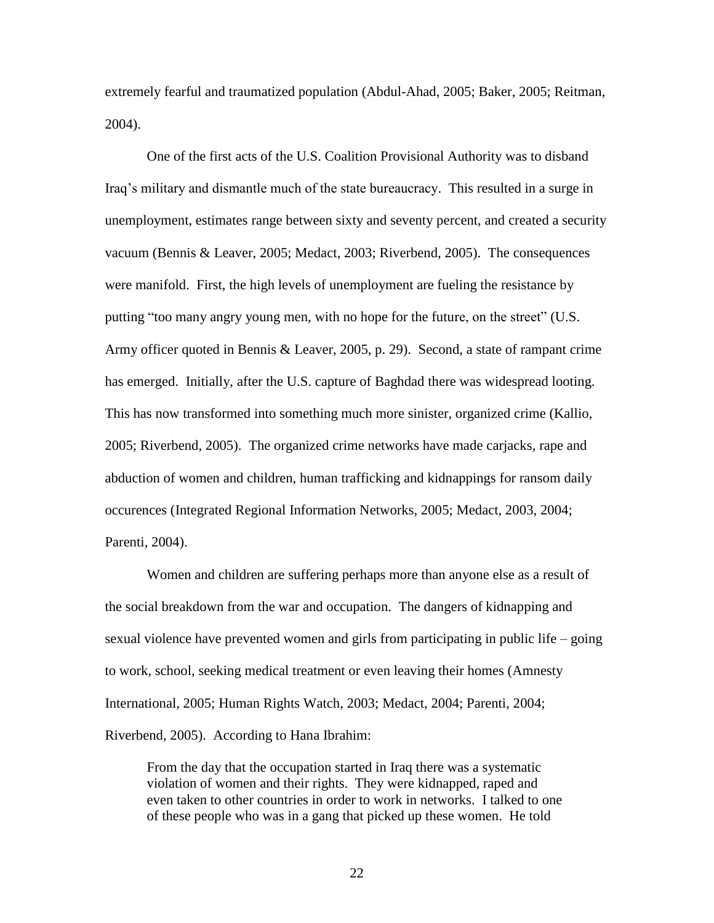extremely fearful and traumatized population (Abdul-Ahad, 2005; Baker, 2005; Reitman, 2004).

One of the first acts of the U.S. Coalition Provisional Authority was to disband Iraq's military and dismantle much of the state bureaucracy. This resulted in a surge in unemployment, estimates range between sixty and seventy percent, and created a security vacuum (Bennis & Leaver, 2005; Medact, 2003; Riverbend, 2005). The consequences were manifold. First, the high levels of unemployment are fueling the resistance by putting "too many angry young men, with no hope for the future, on the street" (U.S. Army officer quoted in Bennis & Leaver, 2005, p. 29). Second, a state of rampant crime has emerged. Initially, after the U.S. capture of Baghdad there was widespread looting. This has now transformed into something much more sinister, organized crime (Kallio, 2005; Riverbend, 2005). The organized crime networks have made carjacks, rape and abduction of women and children, human trafficking and kidnappings for ransom daily occurences (Integrated Regional Information Networks, 2005; Medact, 2003, 2004; Parenti, 2004).

Women and children are suffering perhaps more than anyone else as a result of the social breakdown from the war and occupation. The dangers of kidnapping and sexual violence have prevented women and girls from participating in public life – going to work, school, seeking medical treatment or even leaving their homes (Amnesty International, 2005; Human Rights Watch, 2003; Medact, 2004; Parenti, 2004; Riverbend, 2005). According to Hana Ibrahim:

From the day that the occupation started in Iraq there was a systematic violation of women and their rights. They were kidnapped, raped and even taken to other countries in order to work in networks. I talked to one of these people who was in a gang that picked up these women. He told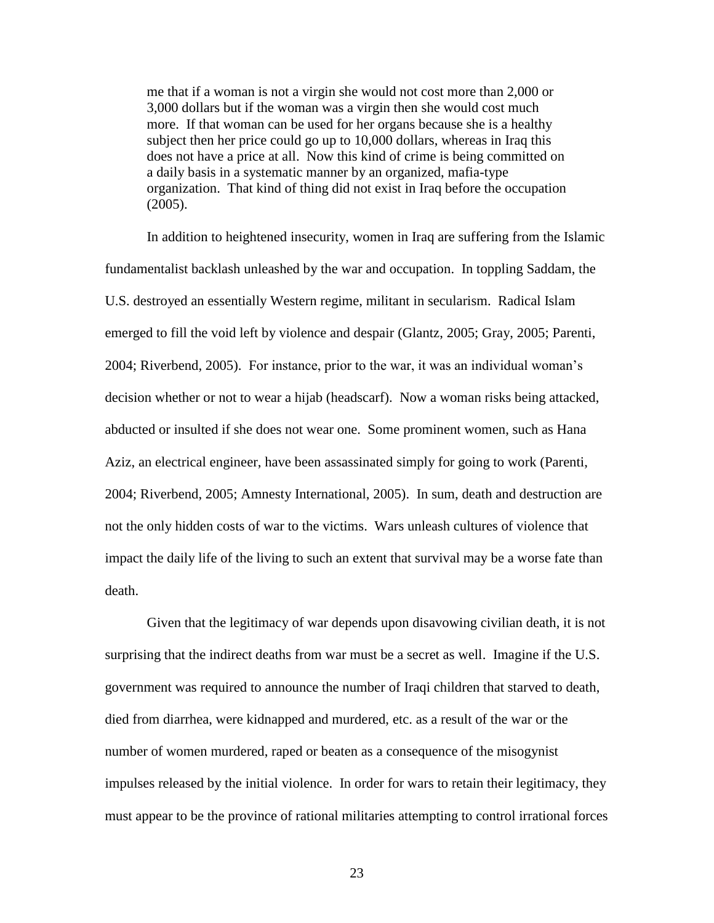me that if a woman is not a virgin she would not cost more than 2,000 or 3,000 dollars but if the woman was a virgin then she would cost much more. If that woman can be used for her organs because she is a healthy subject then her price could go up to 10,000 dollars, whereas in Iraq this does not have a price at all. Now this kind of crime is being committed on a daily basis in a systematic manner by an organized, mafia-type organization. That kind of thing did not exist in Iraq before the occupation (2005).

In addition to heightened insecurity, women in Iraq are suffering from the Islamic fundamentalist backlash unleashed by the war and occupation. In toppling Saddam, the U.S. destroyed an essentially Western regime, militant in secularism. Radical Islam emerged to fill the void left by violence and despair (Glantz, 2005; Gray, 2005; Parenti, 2004; Riverbend, 2005). For instance, prior to the war, it was an individual woman's decision whether or not to wear a hijab (headscarf). Now a woman risks being attacked, abducted or insulted if she does not wear one. Some prominent women, such as Hana Aziz, an electrical engineer, have been assassinated simply for going to work (Parenti, 2004; Riverbend, 2005; Amnesty International, 2005). In sum, death and destruction are not the only hidden costs of war to the victims. Wars unleash cultures of violence that impact the daily life of the living to such an extent that survival may be a worse fate than death.

Given that the legitimacy of war depends upon disavowing civilian death, it is not surprising that the indirect deaths from war must be a secret as well. Imagine if the U.S. government was required to announce the number of Iraqi children that starved to death, died from diarrhea, were kidnapped and murdered, etc. as a result of the war or the number of women murdered, raped or beaten as a consequence of the misogynist impulses released by the initial violence. In order for wars to retain their legitimacy, they must appear to be the province of rational militaries attempting to control irrational forces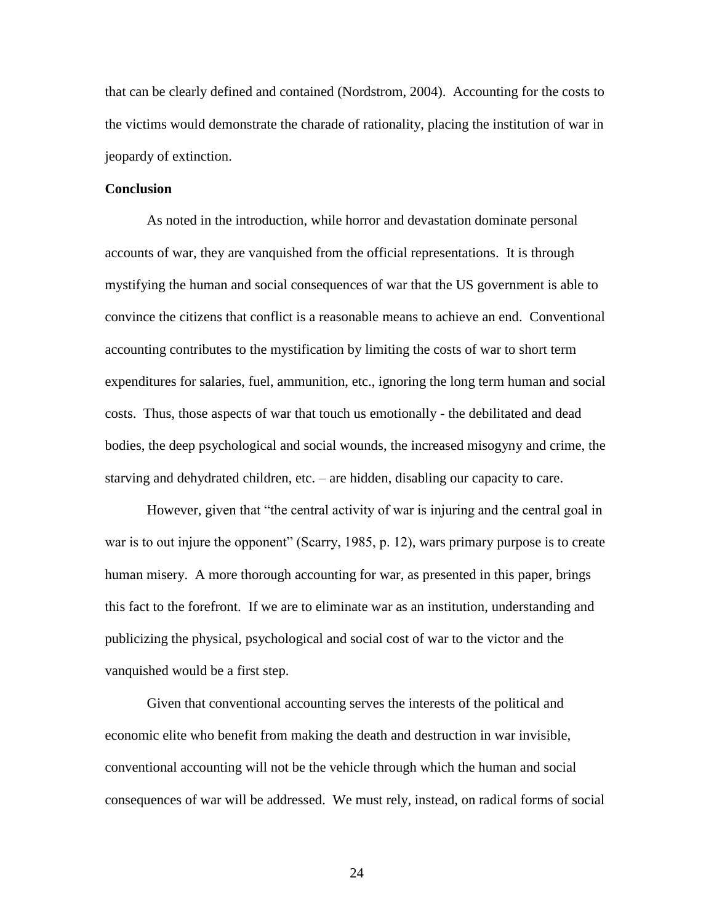that can be clearly defined and contained (Nordstrom, 2004). Accounting for the costs to the victims would demonstrate the charade of rationality, placing the institution of war in jeopardy of extinction.

#### **Conclusion**

As noted in the introduction, while horror and devastation dominate personal accounts of war, they are vanquished from the official representations. It is through mystifying the human and social consequences of war that the US government is able to convince the citizens that conflict is a reasonable means to achieve an end. Conventional accounting contributes to the mystification by limiting the costs of war to short term expenditures for salaries, fuel, ammunition, etc., ignoring the long term human and social costs. Thus, those aspects of war that touch us emotionally - the debilitated and dead bodies, the deep psychological and social wounds, the increased misogyny and crime, the starving and dehydrated children, etc. – are hidden, disabling our capacity to care.

However, given that "the central activity of war is injuring and the central goal in war is to out injure the opponent" (Scarry, 1985, p. 12), wars primary purpose is to create human misery. A more thorough accounting for war, as presented in this paper, brings this fact to the forefront. If we are to eliminate war as an institution, understanding and publicizing the physical, psychological and social cost of war to the victor and the vanquished would be a first step.

Given that conventional accounting serves the interests of the political and economic elite who benefit from making the death and destruction in war invisible, conventional accounting will not be the vehicle through which the human and social consequences of war will be addressed. We must rely, instead, on radical forms of social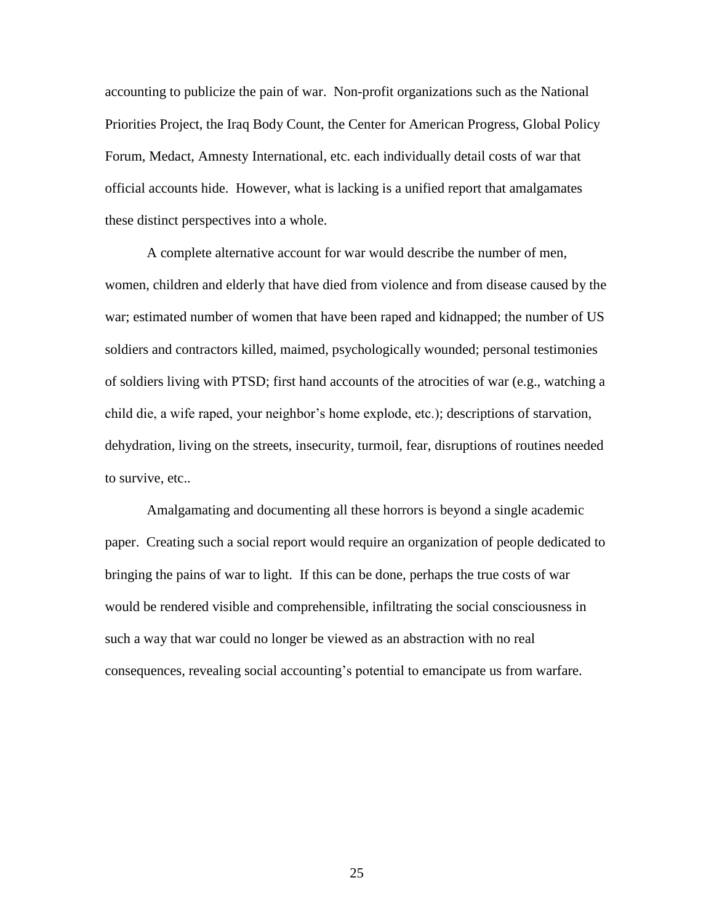accounting to publicize the pain of war. Non-profit organizations such as the National Priorities Project, the Iraq Body Count, the Center for American Progress, Global Policy Forum, Medact, Amnesty International, etc. each individually detail costs of war that official accounts hide. However, what is lacking is a unified report that amalgamates these distinct perspectives into a whole.

A complete alternative account for war would describe the number of men, women, children and elderly that have died from violence and from disease caused by the war; estimated number of women that have been raped and kidnapped; the number of US soldiers and contractors killed, maimed, psychologically wounded; personal testimonies of soldiers living with PTSD; first hand accounts of the atrocities of war (e.g., watching a child die, a wife raped, your neighbor's home explode, etc.); descriptions of starvation, dehydration, living on the streets, insecurity, turmoil, fear, disruptions of routines needed to survive, etc..

Amalgamating and documenting all these horrors is beyond a single academic paper. Creating such a social report would require an organization of people dedicated to bringing the pains of war to light. If this can be done, perhaps the true costs of war would be rendered visible and comprehensible, infiltrating the social consciousness in such a way that war could no longer be viewed as an abstraction with no real consequences, revealing social accounting's potential to emancipate us from warfare.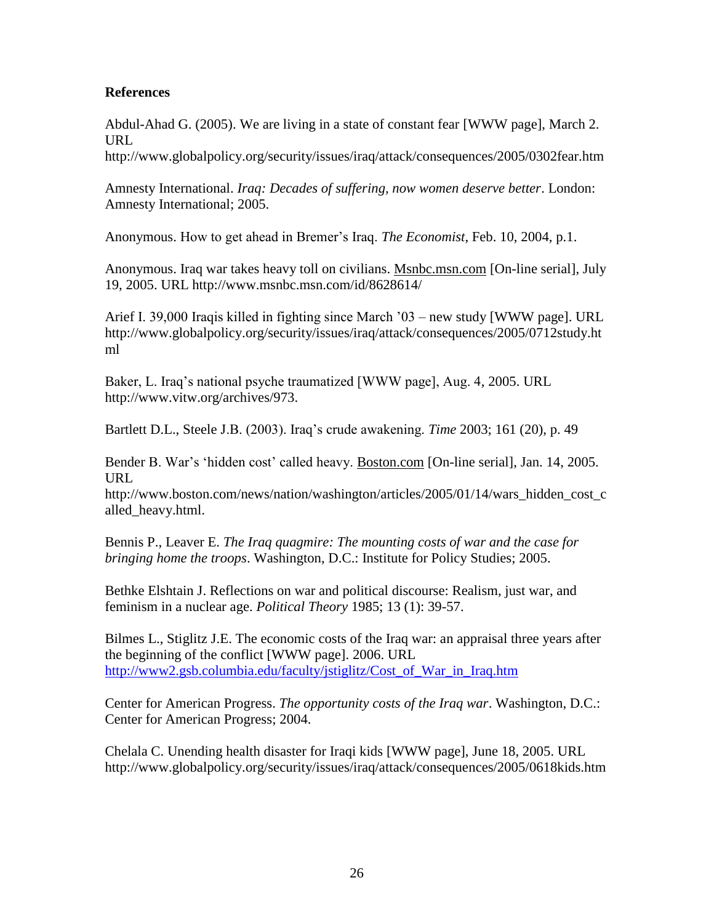## **References**

Abdul-Ahad G. (2005). We are living in a state of constant fear [WWW page], March 2. URL

http://www.globalpolicy.org/security/issues/iraq/attack/consequences/2005/0302fear.htm

Amnesty International. *Iraq: Decades of suffering, now women deserve better*. London: Amnesty International; 2005.

Anonymous. How to get ahead in Bremer's Iraq. *The Economist*, Feb. 10, 2004, p.1.

Anonymous. Iraq war takes heavy toll on civilians. Msnbc.msn.com [On-line serial], July 19, 2005. URL http://www.msnbc.msn.com/id/8628614/

Arief I. 39,000 Iraqis killed in fighting since March '03 – new study [WWW page]. URL http://www.globalpolicy.org/security/issues/iraq/attack/consequences/2005/0712study.ht ml

Baker, L. Iraq's national psyche traumatized [WWW page], Aug. 4, 2005. URL http://www.vitw.org/archives/973.

Bartlett D.L., Steele J.B. (2003). Iraq's crude awakening. *Time* 2003; 161 (20), p. 49

Bender B. War's 'hidden cost' called heavy. Boston.com [On-line serial], Jan. 14, 2005. URL

http://www.boston.com/news/nation/washington/articles/2005/01/14/wars\_hidden\_cost\_c alled\_heavy.html.

Bennis P., Leaver E. *The Iraq quagmire: The mounting costs of war and the case for bringing home the troops*. Washington, D.C.: Institute for Policy Studies; 2005.

Bethke Elshtain J. Reflections on war and political discourse: Realism, just war, and feminism in a nuclear age. *Political Theory* 1985; 13 (1): 39-57.

Bilmes L., Stiglitz J.E. The economic costs of the Iraq war: an appraisal three years after the beginning of the conflict [WWW page]. 2006. URL [http://www2.gsb.columbia.edu/faculty/jstiglitz/Cost\\_of\\_War\\_in\\_Iraq.htm](http://www2.gsb.columbia.edu/faculty/jstiglitz/Cost_of_War_in_Iraq.htm)

Center for American Progress. *The opportunity costs of the Iraq war*. Washington, D.C.: Center for American Progress; 2004.

Chelala C. Unending health disaster for Iraqi kids [WWW page], June 18, 2005. URL http://www.globalpolicy.org/security/issues/iraq/attack/consequences/2005/0618kids.htm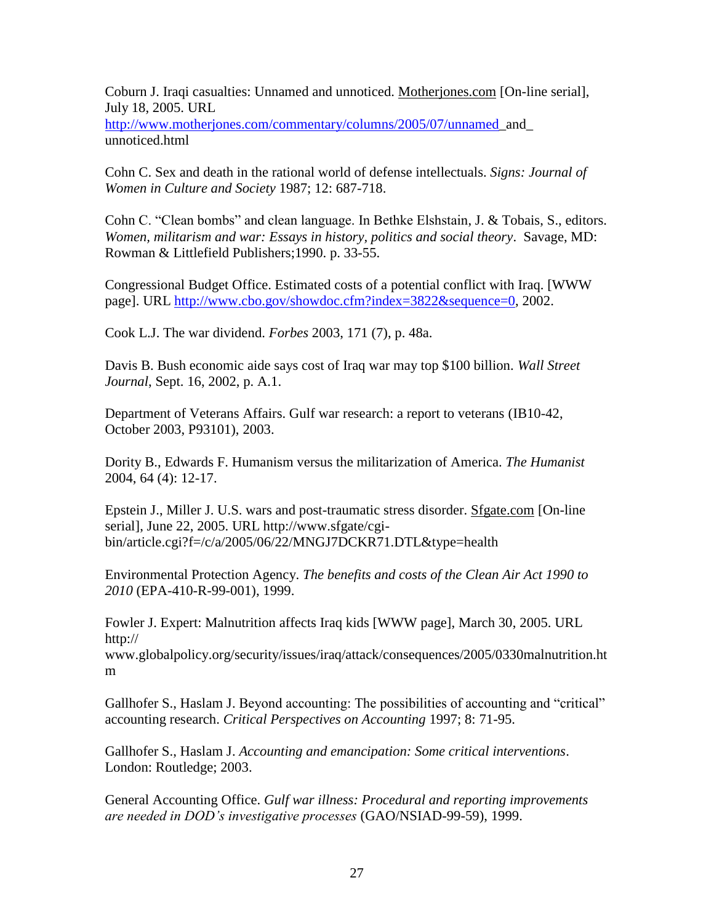Coburn J. Iraqi casualties: Unnamed and unnoticed. Motherjones.com [On-line serial], July 18, 2005. URL

[http://www.motherjones.com/commentary/columns/2005/07/unnamed\\_](http://www.motherjones.com/commentary/columns/2005/07/unnamed)and\_ unnoticed.html

Cohn C. Sex and death in the rational world of defense intellectuals. *Signs: Journal of Women in Culture and Society* 1987; 12: 687-718.

Cohn C. "Clean bombs" and clean language. In Bethke Elshstain, J. & Tobais, S., editors. *Women, militarism and war: Essays in history, politics and social theory*. Savage, MD: Rowman & Littlefield Publishers;1990. p. 33-55.

Congressional Budget Office. Estimated costs of a potential conflict with Iraq. [WWW page]. URL [http://www.cbo.gov/showdoc.cfm?index=3822&sequence=0,](http://www.cbo.gov/showdoc.cfm?index=3822&sequence=0) 2002.

Cook L.J. The war dividend. *Forbes* 2003, 171 (7), p. 48a.

Davis B. Bush economic aide says cost of Iraq war may top \$100 billion. *Wall Street Journal*, Sept. 16, 2002, p. A.1.

Department of Veterans Affairs. Gulf war research: a report to veterans (IB10-42, October 2003, P93101), 2003.

Dority B., Edwards F. Humanism versus the militarization of America. *The Humanist* 2004, 64 (4): 12-17.

Epstein J., Miller J. U.S. wars and post-traumatic stress disorder. Sfgate.com [On-line serial], June 22, 2005. URL http://www.sfgate/cgibin/article.cgi?f=/c/a/2005/06/22/MNGJ7DCKR71.DTL&type=health

Environmental Protection Agency. *The benefits and costs of the Clean Air Act 1990 to 2010* (EPA-410-R-99-001), 1999.

Fowler J. Expert: Malnutrition affects Iraq kids [WWW page], March 30, 2005. URL http://

www.globalpolicy.org/security/issues/iraq/attack/consequences/2005/0330malnutrition.ht m

Gallhofer S., Haslam J. Beyond accounting: The possibilities of accounting and "critical" accounting research. *Critical Perspectives on Accounting* 1997; 8: 71-95.

Gallhofer S., Haslam J. *Accounting and emancipation: Some critical interventions*. London: Routledge; 2003.

General Accounting Office. *Gulf war illness: Procedural and reporting improvements are needed in DOD's investigative processes* (GAO/NSIAD-99-59), 1999.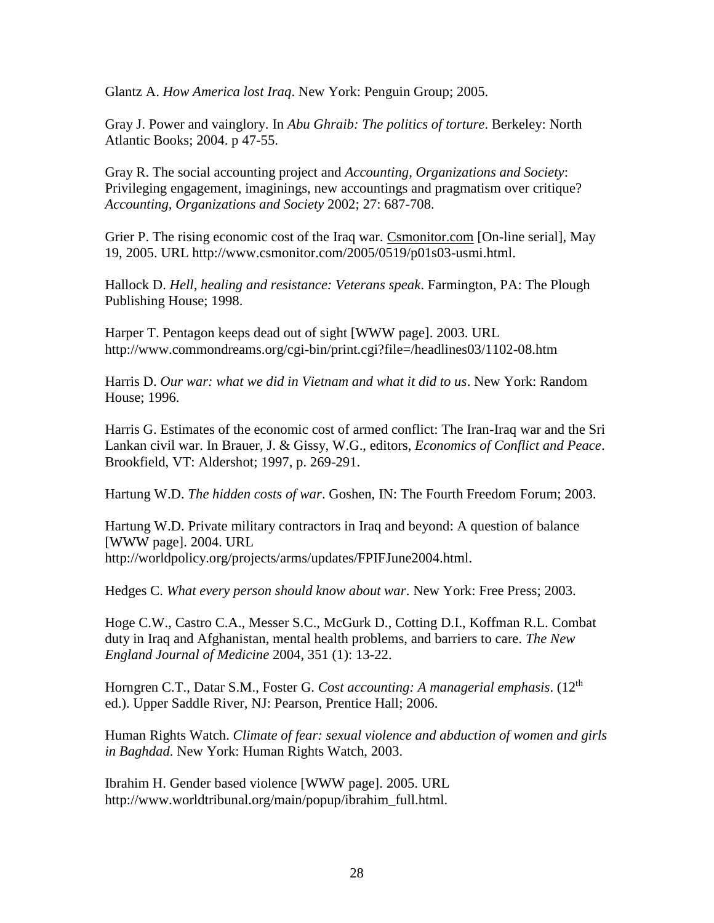Glantz A. *How America lost Iraq*. New York: Penguin Group; 2005.

Gray J. Power and vainglory. In *Abu Ghraib: The politics of torture*. Berkeley: North Atlantic Books; 2004. p 47-55.

Gray R. The social accounting project and *Accounting, Organizations and Society*: Privileging engagement, imaginings, new accountings and pragmatism over critique? *Accounting, Organizations and Society* 2002; 27: 687-708.

Grier P. The rising economic cost of the Iraq war. Csmonitor.com [On-line serial], May 19, 2005. URL http://www.csmonitor.com/2005/0519/p01s03-usmi.html.

Hallock D. *Hell, healing and resistance: Veterans speak*. Farmington, PA: The Plough Publishing House; 1998.

Harper T. Pentagon keeps dead out of sight [WWW page]. 2003. URL http://www.commondreams.org/cgi-bin/print.cgi?file=/headlines03/1102-08.htm

Harris D. *Our war: what we did in Vietnam and what it did to us*. New York: Random House; 1996.

Harris G. Estimates of the economic cost of armed conflict: The Iran-Iraq war and the Sri Lankan civil war. In Brauer, J. & Gissy, W.G., editors, *Economics of Conflict and Peace*. Brookfield, VT: Aldershot; 1997, p. 269-291.

Hartung W.D. *The hidden costs of war*. Goshen, IN: The Fourth Freedom Forum; 2003.

Hartung W.D. Private military contractors in Iraq and beyond: A question of balance [WWW page]. 2004. URL http://worldpolicy.org/projects/arms/updates/FPIFJune2004.html.

Hedges C. *What every person should know about war*. New York: Free Press; 2003.

Hoge C.W., Castro C.A., Messer S.C., McGurk D., Cotting D.I., Koffman R.L. Combat duty in Iraq and Afghanistan, mental health problems, and barriers to care. *The New England Journal of Medicine* 2004, 351 (1): 13-22.

Horngren C.T., Datar S.M., Foster G. *Cost accounting: A managerial emphasis*. (12th ed.). Upper Saddle River, NJ: Pearson, Prentice Hall; 2006.

Human Rights Watch. *Climate of fear: sexual violence and abduction of women and girls in Baghdad*. New York: Human Rights Watch, 2003.

Ibrahim H. Gender based violence [WWW page]. 2005. URL http://www.worldtribunal.org/main/popup/ibrahim\_full.html.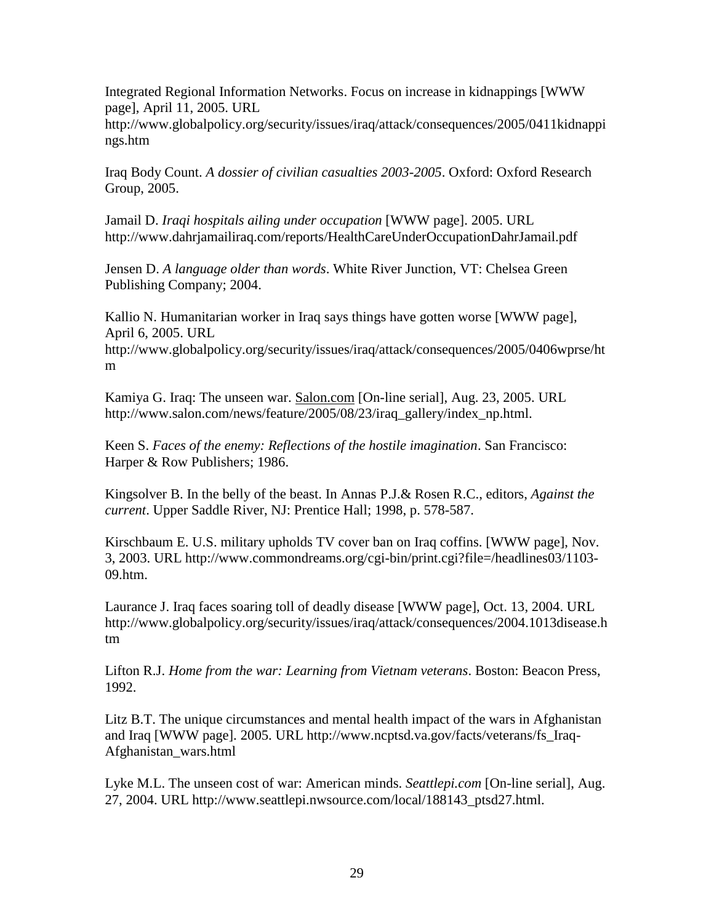Integrated Regional Information Networks. Focus on increase in kidnappings [WWW page], April 11, 2005. URL

http://www.globalpolicy.org/security/issues/iraq/attack/consequences/2005/0411kidnappi ngs.htm

Iraq Body Count. *A dossier of civilian casualties 2003-2005*. Oxford: Oxford Research Group, 2005.

Jamail D. *Iraqi hospitals ailing under occupation* [WWW page]. 2005. URL http://www.dahrjamailiraq.com/reports/HealthCareUnderOccupationDahrJamail.pdf

Jensen D. *A language older than words*. White River Junction, VT: Chelsea Green Publishing Company; 2004.

Kallio N. Humanitarian worker in Iraq says things have gotten worse [WWW page], April 6, 2005. URL

http://www.globalpolicy.org/security/issues/iraq/attack/consequences/2005/0406wprse/ht m

Kamiya G. Iraq: The unseen war. Salon.com [On-line serial], Aug. 23, 2005. URL http://www.salon.com/news/feature/2005/08/23/iraq\_gallery/index\_np.html.

Keen S. *Faces of the enemy: Reflections of the hostile imagination*. San Francisco: Harper & Row Publishers; 1986.

Kingsolver B. In the belly of the beast. In Annas P.J.& Rosen R.C., editors, *Against the current*. Upper Saddle River, NJ: Prentice Hall; 1998, p. 578-587.

Kirschbaum E. U.S. military upholds TV cover ban on Iraq coffins. [WWW page], Nov. 3, 2003. URL http://www.commondreams.org/cgi-bin/print.cgi?file=/headlines03/1103- 09.htm.

Laurance J. Iraq faces soaring toll of deadly disease [WWW page], Oct. 13, 2004. URL http://www.globalpolicy.org/security/issues/iraq/attack/consequences/2004.1013disease.h tm

Lifton R.J. *Home from the war: Learning from Vietnam veterans*. Boston: Beacon Press, 1992.

Litz B.T. The unique circumstances and mental health impact of the wars in Afghanistan and Iraq [WWW page]. 2005. URL http://www.ncptsd.va.gov/facts/veterans/fs\_Iraq-Afghanistan\_wars.html

Lyke M.L. The unseen cost of war: American minds. *Seattlepi.com* [On-line serial], Aug. 27, 2004. URL http://www.seattlepi.nwsource.com/local/188143\_ptsd27.html.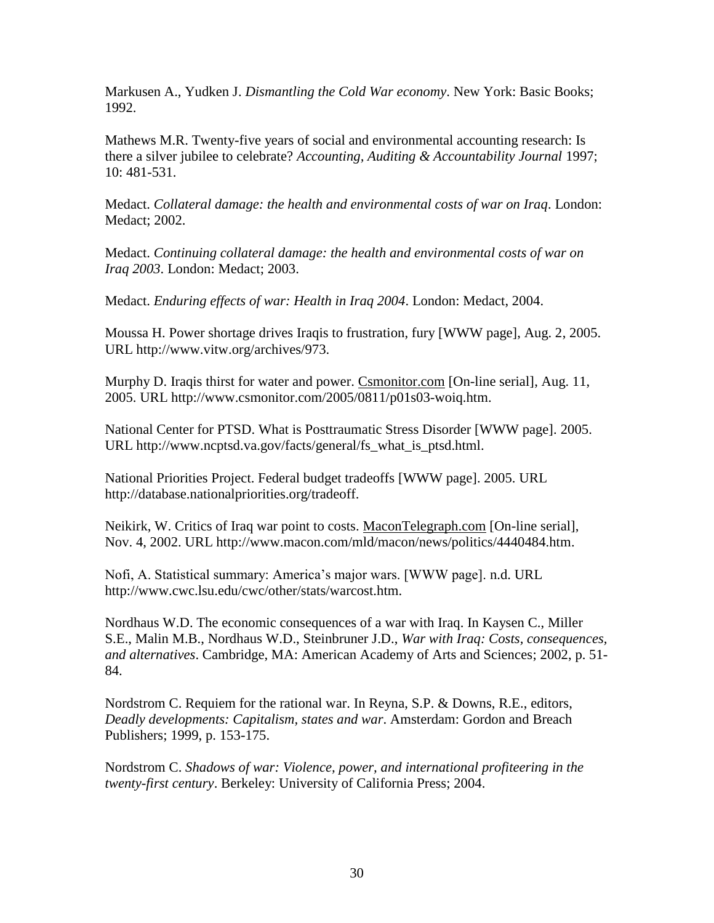Markusen A., Yudken J. *Dismantling the Cold War economy*. New York: Basic Books; 1992.

Mathews M.R. Twenty-five years of social and environmental accounting research: Is there a silver jubilee to celebrate? *Accounting, Auditing & Accountability Journal* 1997; 10: 481-531.

Medact. *Collateral damage: the health and environmental costs of war on Iraq*. London: Medact; 2002.

Medact. *Continuing collateral damage: the health and environmental costs of war on Iraq 2003*. London: Medact; 2003.

Medact. *Enduring effects of war: Health in Iraq 2004*. London: Medact, 2004.

Moussa H. Power shortage drives Iraqis to frustration, fury [WWW page], Aug. 2, 2005. URL http://www.vitw.org/archives/973.

Murphy D. Iraqis thirst for water and power. Csmonitor.com [On-line serial], Aug. 11, 2005. URL http://www.csmonitor.com/2005/0811/p01s03-woiq.htm.

National Center for PTSD. What is Posttraumatic Stress Disorder [WWW page]. 2005. URL http://www.ncptsd.va.gov/facts/general/fs\_what\_is\_ptsd.html.

National Priorities Project. Federal budget tradeoffs [WWW page]. 2005. URL http://database.nationalpriorities.org/tradeoff.

Neikirk, W. Critics of Iraq war point to costs. MaconTelegraph.com [On-line serial], Nov. 4, 2002. URL http://www.macon.com/mld/macon/news/politics/4440484.htm.

Nofi, A. Statistical summary: America's major wars. [WWW page]. n.d. URL http://www.cwc.lsu.edu/cwc/other/stats/warcost.htm.

Nordhaus W.D. The economic consequences of a war with Iraq. In Kaysen C., Miller S.E., Malin M.B., Nordhaus W.D., Steinbruner J.D., *War with Iraq: Costs, consequences, and alternatives*. Cambridge, MA: American Academy of Arts and Sciences; 2002, p. 51- 84.

Nordstrom C. Requiem for the rational war. In Reyna, S.P. & Downs, R.E., editors, *Deadly developments: Capitalism, states and war*. Amsterdam: Gordon and Breach Publishers; 1999, p. 153-175.

Nordstrom C. *Shadows of war: Violence, power, and international profiteering in the twenty-first century*. Berkeley: University of California Press; 2004.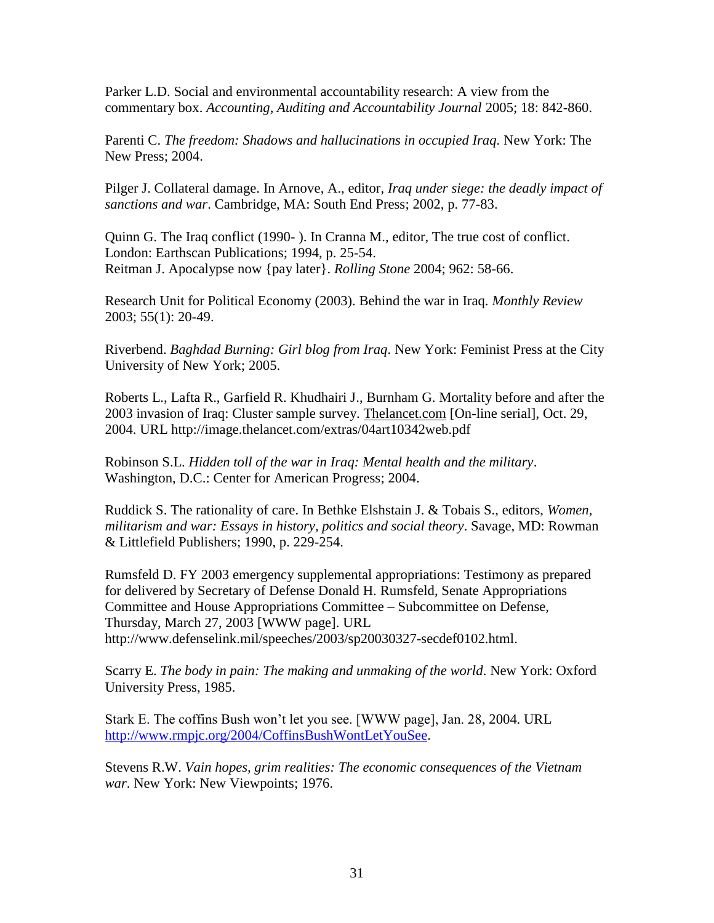Parker L.D. Social and environmental accountability research: A view from the commentary box. *Accounting, Auditing and Accountability Journal* 2005; 18: 842-860.

Parenti C. *The freedom: Shadows and hallucinations in occupied Iraq*. New York: The New Press; 2004.

Pilger J. Collateral damage. In Arnove, A., editor, *Iraq under siege: the deadly impact of sanctions and war*. Cambridge, MA: South End Press; 2002, p. 77-83.

Quinn G. The Iraq conflict (1990- ). In Cranna M., editor, The true cost of conflict. London: Earthscan Publications; 1994, p. 25-54. Reitman J. Apocalypse now {pay later}. *Rolling Stone* 2004; 962: 58-66.

Research Unit for Political Economy (2003). Behind the war in Iraq. *Monthly Review* 2003; 55(1): 20-49.

Riverbend. *Baghdad Burning: Girl blog from Iraq*. New York: Feminist Press at the City University of New York; 2005.

Roberts L., Lafta R., Garfield R. Khudhairi J., Burnham G. Mortality before and after the 2003 invasion of Iraq: Cluster sample survey. Thelancet.com [On-line serial], Oct. 29, 2004. URL http://image.thelancet.com/extras/04art10342web.pdf

Robinson S.L. *Hidden toll of the war in Iraq: Mental health and the military*. Washington, D.C.: Center for American Progress; 2004.

Ruddick S. The rationality of care. In Bethke Elshstain J. & Tobais S., editors, *Women, militarism and war: Essays in history, politics and social theory*. Savage, MD: Rowman & Littlefield Publishers; 1990, p. 229-254.

Rumsfeld D. FY 2003 emergency supplemental appropriations: Testimony as prepared for delivered by Secretary of Defense Donald H. Rumsfeld, Senate Appropriations Committee and House Appropriations Committee – Subcommittee on Defense, Thursday, March 27, 2003 [WWW page]. URL http://www.defenselink.mil/speeches/2003/sp20030327-secdef0102.html.

Scarry E. *The body in pain: The making and unmaking of the world*. New York: Oxford University Press, 1985.

Stark E. The coffins Bush won't let you see. [WWW page], Jan. 28, 2004. URL [http://www.rmpjc.org/2004/CoffinsBushWontLetYouSee.](http://www.rmpjc.org/2004/CoffinsBushWontLetYouSee)

Stevens R.W. *Vain hopes, grim realities: The economic consequences of the Vietnam war*. New York: New Viewpoints; 1976.